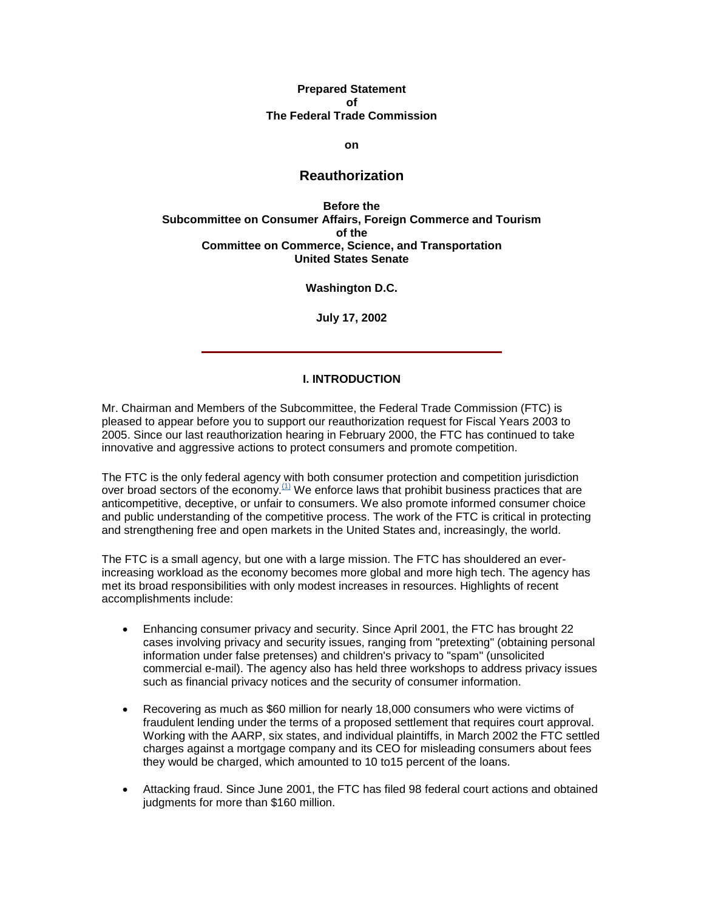#### **Prepared Statement of The Federal Trade Commission**

**on**

## **Reauthorization**

**Before the Subcommittee on Consumer Affairs, Foreign Commerce and Tourism of the Committee on Commerce, Science, and Transportation United States Senate**

**Washington D.C.**

**July 17, 2002**

#### **I. INTRODUCTION**

Mr. Chairman and Members of the Subcommittee, the Federal Trade Commission (FTC) is pleased to appear before you to support our reauthorization request for Fiscal Years 2003 to 2005. Since our last reauthorization hearing in February 2000, the FTC has continued to take innovative and aggressive actions to protect consumers and promote competition.

The FTC is the only federal agency with both consumer protection and competition jurisdiction over broad sectors of the economy. $(1)$  We enforce laws that prohibit business practices that are anticompetitive, deceptive, or unfair to consumers. We also promote informed consumer choice and public understanding of the competitive process. The work of the FTC is critical in protecting and strengthening free and open markets in the United States and, increasingly, the world.

The FTC is a small agency, but one with a large mission. The FTC has shouldered an everincreasing workload as the economy becomes more global and more high tech. The agency has met its broad responsibilities with only modest increases in resources. Highlights of recent accomplishments include:

- Enhancing consumer privacy and security. Since April 2001, the FTC has brought 22 cases involving privacy and security issues, ranging from "pretexting" (obtaining personal information under false pretenses) and children's privacy to "spam" (unsolicited commercial e-mail). The agency also has held three workshops to address privacy issues such as financial privacy notices and the security of consumer information.
- Recovering as much as \$60 million for nearly 18,000 consumers who were victims of fraudulent lending under the terms of a proposed settlement that requires court approval. Working with the AARP, six states, and individual plaintiffs, in March 2002 the FTC settled charges against a mortgage company and its CEO for misleading consumers about fees they would be charged, which amounted to 10 to15 percent of the loans.
- Attacking fraud. Since June 2001, the FTC has filed 98 federal court actions and obtained judgments for more than \$160 million.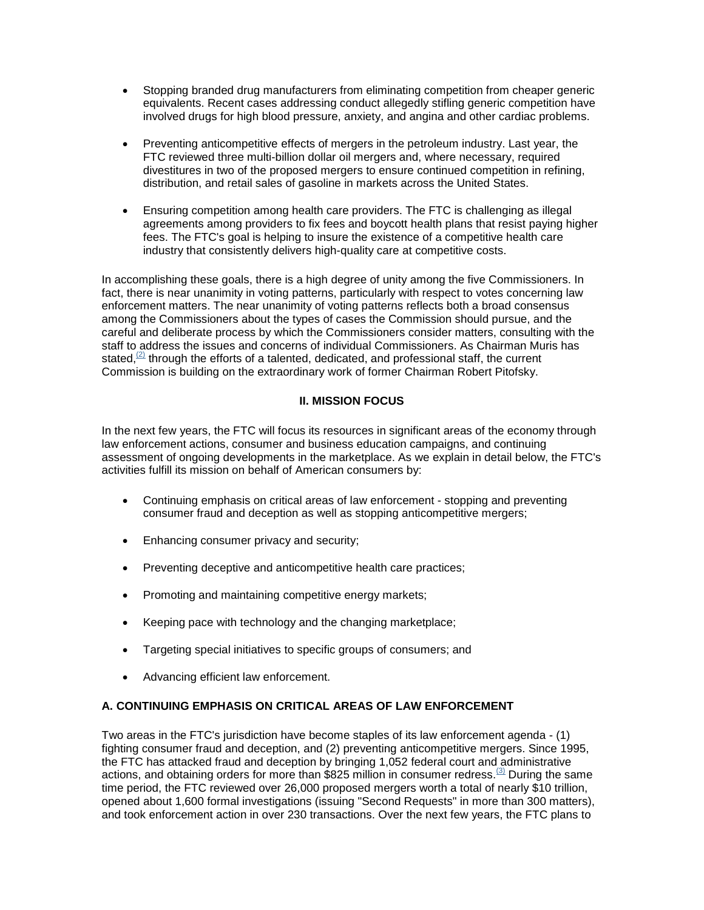- Stopping branded drug manufacturers from eliminating competition from cheaper generic equivalents. Recent cases addressing conduct allegedly stifling generic competition have involved drugs for high blood pressure, anxiety, and angina and other cardiac problems.
- Preventing anticompetitive effects of mergers in the petroleum industry. Last year, the FTC reviewed three multi-billion dollar oil mergers and, where necessary, required divestitures in two of the proposed mergers to ensure continued competition in refining, distribution, and retail sales of gasoline in markets across the United States.
- Ensuring competition among health care providers. The FTC is challenging as illegal agreements among providers to fix fees and boycott health plans that resist paying higher fees. The FTC's goal is helping to insure the existence of a competitive health care industry that consistently delivers high-quality care at competitive costs.

In accomplishing these goals, there is a high degree of unity among the five Commissioners. In fact, there is near unanimity in voting patterns, particularly with respect to votes concerning law enforcement matters. The near unanimity of voting patterns reflects both a broad consensus among the Commissioners about the types of cases the Commission should pursue, and the careful and deliberate process by which the Commissioners consider matters, consulting with the staff to address the issues and concerns of individual Commissioners. As Chairman Muris has stated, $(2)$  through the efforts of a talented, dedicated, and professional staff, the current Commission is building on the extraordinary work of former Chairman Robert Pitofsky.

## **II. MISSION FOCUS**

In the next few years, the FTC will focus its resources in significant areas of the economy through law enforcement actions, consumer and business education campaigns, and continuing assessment of ongoing developments in the marketplace. As we explain in detail below, the FTC's activities fulfill its mission on behalf of American consumers by:

- Continuing emphasis on critical areas of law enforcement stopping and preventing consumer fraud and deception as well as stopping anticompetitive mergers;
- Enhancing consumer privacy and security;
- Preventing deceptive and anticompetitive health care practices;
- Promoting and maintaining competitive energy markets;
- Keeping pace with technology and the changing marketplace;
- Targeting special initiatives to specific groups of consumers; and
- Advancing efficient law enforcement.

## **A. CONTINUING EMPHASIS ON CRITICAL AREAS OF LAW ENFORCEMENT**

Two areas in the FTC's jurisdiction have become staples of its law enforcement agenda - (1) fighting consumer fraud and deception, and (2) preventing anticompetitive mergers. Since 1995, the FTC has attacked fraud and deception by bringing 1,052 federal court and administrative actions, and obtaining orders for more than \$825 million in consumer redress.<sup>[3]</sup> During the same time period, the FTC reviewed over 26,000 proposed mergers worth a total of nearly \$10 trillion, opened about 1,600 formal investigations (issuing "Second Requests" in more than 300 matters), and took enforcement action in over 230 transactions. Over the next few years, the FTC plans to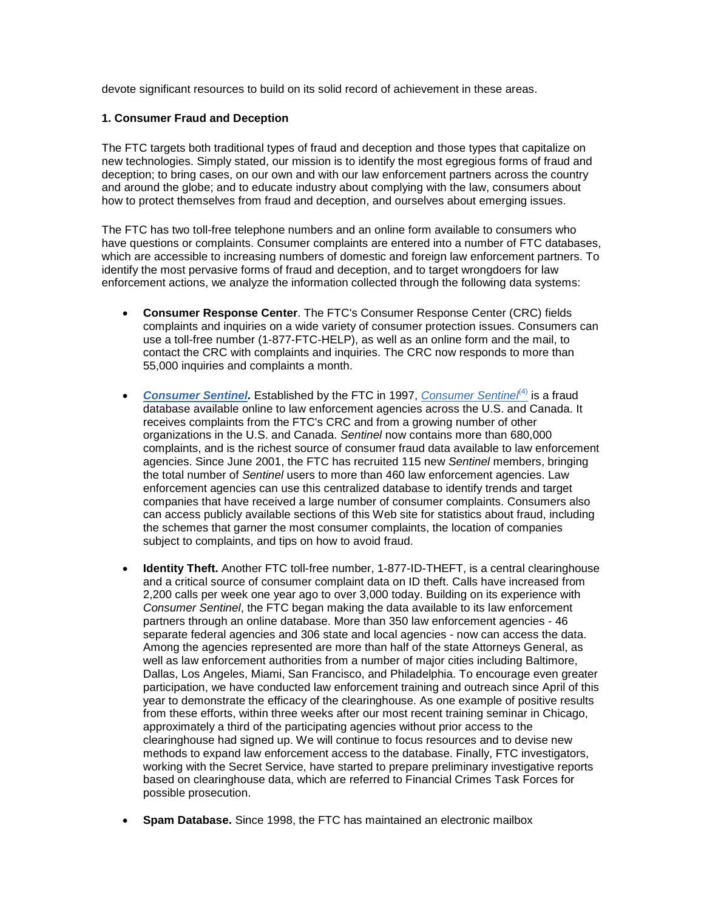devote significant resources to build on its solid record of achievement in these areas.

#### **1. Consumer Fraud and Deception**

The FTC targets both traditional types of fraud and deception and those types that capitalize on new technologies. Simply stated, our mission is to identify the most egregious forms of fraud and deception; to bring cases, on our own and with our law enforcement partners across the country and around the globe; and to educate industry about complying with the law, consumers about how to protect themselves from fraud and deception, and ourselves about emerging issues.

The FTC has two toll-free telephone numbers and an online form available to consumers who have questions or complaints. Consumer complaints are entered into a number of FTC databases, which are accessible to increasing numbers of domestic and foreign law enforcement partners. To identify the most pervasive forms of fraud and deception, and to target wrongdoers for law enforcement actions, we analyze the information collected through the following data systems:

- **Consumer Response Center**. The FTC's Consumer Response Center (CRC) fields complaints and inquiries on a wide variety of consumer protection issues. Consumers can use a toll-free number (1-877-FTC-HELP), as well as an online form and the mail, to contact the CRC with complaints and inquiries. The CRC now responds to more than 55,000 inquiries and complaints a month.
- *[Consumer Sentinel.](http://www.sentinel.gov/)* Established by the FTC in 1997, *Consumer Sentine*<sup>[\(4\)](http://www.sentinel.gov/)</sup> is a fraud database available online to law enforcement agencies across the U.S. and Canada. It receives complaints from the FTC's CRC and from a growing number of other organizations in the U.S. and Canada. *Sentinel* now contains more than 680,000 complaints, and is the richest source of consumer fraud data available to law enforcement agencies. Since June 2001, the FTC has recruited 115 new *Sentinel* members, bringing the total number of *Sentinel* users to more than 460 law enforcement agencies. Law enforcement agencies can use this centralized database to identify trends and target companies that have received a large number of consumer complaints. Consumers also can access publicly available sections of this Web site for statistics about fraud, including the schemes that garner the most consumer complaints, the location of companies subject to complaints, and tips on how to avoid fraud.
- **Identity Theft.** Another FTC toll-free number, 1-877-ID-THEFT, is a central clearinghouse and a critical source of consumer complaint data on ID theft. Calls have increased from 2,200 calls per week one year ago to over 3,000 today. Building on its experience with *Consumer Sentinel*, the FTC began making the data available to its law enforcement partners through an online database. More than 350 law enforcement agencies - 46 separate federal agencies and 306 state and local agencies - now can access the data. Among the agencies represented are more than half of the state Attorneys General, as well as law enforcement authorities from a number of major cities including Baltimore, Dallas, Los Angeles, Miami, San Francisco, and Philadelphia. To encourage even greater participation, we have conducted law enforcement training and outreach since April of this year to demonstrate the efficacy of the clearinghouse. As one example of positive results from these efforts, within three weeks after our most recent training seminar in Chicago, approximately a third of the participating agencies without prior access to the clearinghouse had signed up. We will continue to focus resources and to devise new methods to expand law enforcement access to the database. Finally, FTC investigators, working with the Secret Service, have started to prepare preliminary investigative reports based on clearinghouse data, which are referred to Financial Crimes Task Forces for possible prosecution.
- **Spam Database.** Since 1998, the FTC has maintained an electronic mailbox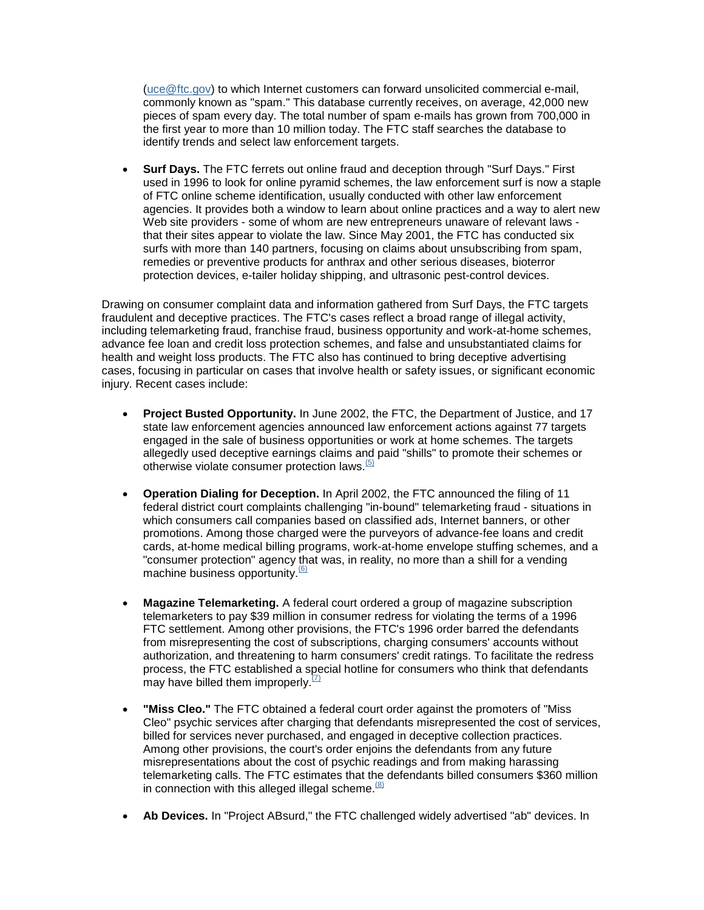[\(uce@ftc.gov\)](mailto:spam@uce.gov) to which Internet customers can forward unsolicited commercial e-mail, commonly known as "spam." This database currently receives, on average, 42,000 new pieces of spam every day. The total number of spam e-mails has grown from 700,000 in the first year to more than 10 million today. The FTC staff searches the database to identify trends and select law enforcement targets.

• **Surf Days.** The FTC ferrets out online fraud and deception through "Surf Days." First used in 1996 to look for online pyramid schemes, the law enforcement surf is now a staple of FTC online scheme identification, usually conducted with other law enforcement agencies. It provides both a window to learn about online practices and a way to alert new Web site providers - some of whom are new entrepreneurs unaware of relevant laws that their sites appear to violate the law. Since May 2001, the FTC has conducted six surfs with more than 140 partners, focusing on claims about unsubscribing from spam, remedies or preventive products for anthrax and other serious diseases, bioterror protection devices, e-tailer holiday shipping, and ultrasonic pest-control devices.

Drawing on consumer complaint data and information gathered from Surf Days, the FTC targets fraudulent and deceptive practices. The FTC's cases reflect a broad range of illegal activity, including telemarketing fraud, franchise fraud, business opportunity and work-at-home schemes, advance fee loan and credit loss protection schemes, and false and unsubstantiated claims for health and weight loss products. The FTC also has continued to bring deceptive advertising cases, focusing in particular on cases that involve health or safety issues, or significant economic injury. Recent cases include:

- **Project Busted Opportunity.** In June 2002, the FTC, the Department of Justice, and 17 state law enforcement agencies announced law enforcement actions against 77 targets engaged in the sale of business opportunities or work at home schemes. The targets allegedly used deceptive earnings claims and paid "shills" to promote their schemes or otherwise violate consumer protection laws. $(5)$
- **Operation Dialing for Deception.** In April 2002, the FTC announced the filing of 11 federal district court complaints challenging "in-bound" telemarketing fraud - situations in which consumers call companies based on classified ads, Internet banners, or other promotions. Among those charged were the purveyors of advance-fee loans and credit cards, at-home medical billing programs, work-at-home envelope stuffing schemes, and a "consumer protection" agency that was, in reality, no more than a shill for a vending machine business opportunity.<sup>(6)</sup>
- **Magazine Telemarketing.** A federal court ordered a group of magazine subscription telemarketers to pay \$39 million in consumer redress for violating the terms of a 1996 FTC settlement. Among other provisions, the FTC's 1996 order barred the defendants from misrepresenting the cost of subscriptions, charging consumers' accounts without authorization, and threatening to harm consumers' credit ratings. To facilitate the redress process, the FTC established a special hotline for consumers who think that defendants may have billed them improperly. $(7)$
- **"Miss Cleo."** The FTC obtained a federal court order against the promoters of "Miss Cleo" psychic services after charging that defendants misrepresented the cost of services, billed for services never purchased, and engaged in deceptive collection practices. Among other provisions, the court's order enjoins the defendants from any future misrepresentations about the cost of psychic readings and from making harassing telemarketing calls. The FTC estimates that the defendants billed consumers \$360 million in connection with this alleged illegal scheme. $(8)$
- **Ab Devices.** In "Project ABsurd," the FTC challenged widely advertised "ab" devices. In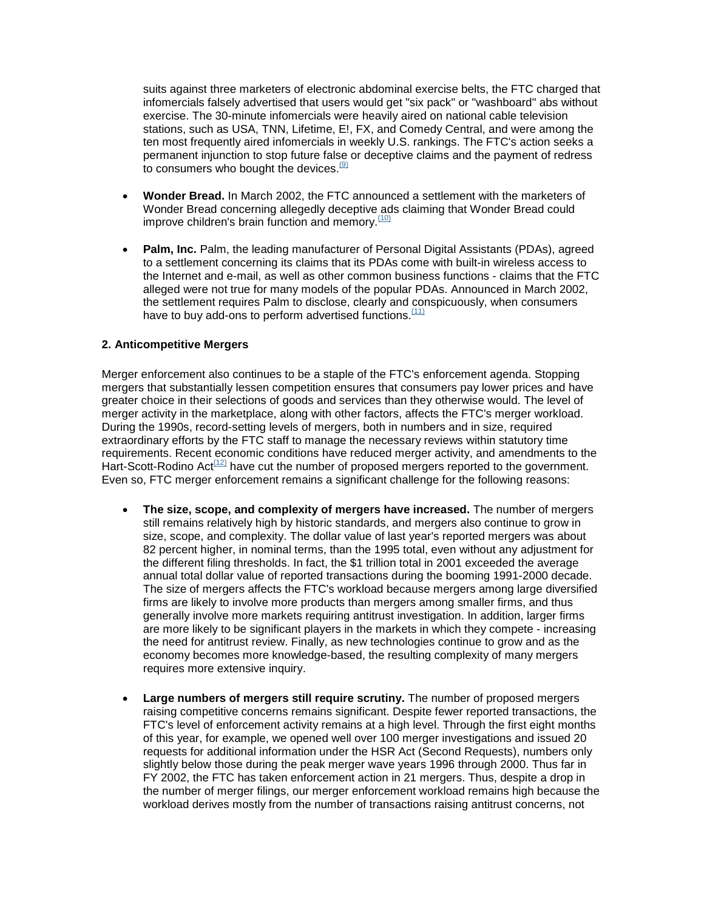suits against three marketers of electronic abdominal exercise belts, the FTC charged that infomercials falsely advertised that users would get "six pack" or "washboard" abs without exercise. The 30-minute infomercials were heavily aired on national cable television stations, such as USA, TNN, Lifetime, E!, FX, and Comedy Central, and were among the ten most frequently aired infomercials in weekly U.S. rankings. The FTC's action seeks a permanent injunction to stop future false or deceptive claims and the payment of redress to consumers who bought the devices  $(9)$ 

- **Wonder Bread.** In March 2002, the FTC announced a settlement with the marketers of Wonder Bread concerning allegedly deceptive ads claiming that Wonder Bread could improve children's brain function and memory.  $(10)$
- **Palm, Inc.** Palm, the leading manufacturer of Personal Digital Assistants (PDAs), agreed to a settlement concerning its claims that its PDAs come with built-in wireless access to the Internet and e-mail, as well as other common business functions - claims that the FTC alleged were not true for many models of the popular PDAs. Announced in March 2002, the settlement requires Palm to disclose, clearly and conspicuously, when consumers have to buy add-ons to perform advertised functions.<sup>(11)</sup>

#### **2. Anticompetitive Mergers**

Merger enforcement also continues to be a staple of the FTC's enforcement agenda. Stopping mergers that substantially lessen competition ensures that consumers pay lower prices and have greater choice in their selections of goods and services than they otherwise would. The level of merger activity in the marketplace, along with other factors, affects the FTC's merger workload. During the 1990s, record-setting levels of mergers, both in numbers and in size, required extraordinary efforts by the FTC staff to manage the necessary reviews within statutory time requirements. Recent economic conditions have reduced merger activity, and amendments to the Hart-Scott-Rodino Act<sup>(12)</sup> have cut the number of proposed mergers reported to the government. Even so, FTC merger enforcement remains a significant challenge for the following reasons:

- **The size, scope, and complexity of mergers have increased.** The number of mergers still remains relatively high by historic standards, and mergers also continue to grow in size, scope, and complexity. The dollar value of last year's reported mergers was about 82 percent higher, in nominal terms, than the 1995 total, even without any adjustment for the different filing thresholds. In fact, the \$1 trillion total in 2001 exceeded the average annual total dollar value of reported transactions during the booming 1991-2000 decade. The size of mergers affects the FTC's workload because mergers among large diversified firms are likely to involve more products than mergers among smaller firms, and thus generally involve more markets requiring antitrust investigation. In addition, larger firms are more likely to be significant players in the markets in which they compete - increasing the need for antitrust review. Finally, as new technologies continue to grow and as the economy becomes more knowledge-based, the resulting complexity of many mergers requires more extensive inquiry.
- **Large numbers of mergers still require scrutiny.** The number of proposed mergers raising competitive concerns remains significant. Despite fewer reported transactions, the FTC's level of enforcement activity remains at a high level. Through the first eight months of this year, for example, we opened well over 100 merger investigations and issued 20 requests for additional information under the HSR Act (Second Requests), numbers only slightly below those during the peak merger wave years 1996 through 2000. Thus far in FY 2002, the FTC has taken enforcement action in 21 mergers. Thus, despite a drop in the number of merger filings, our merger enforcement workload remains high because the workload derives mostly from the number of transactions raising antitrust concerns, not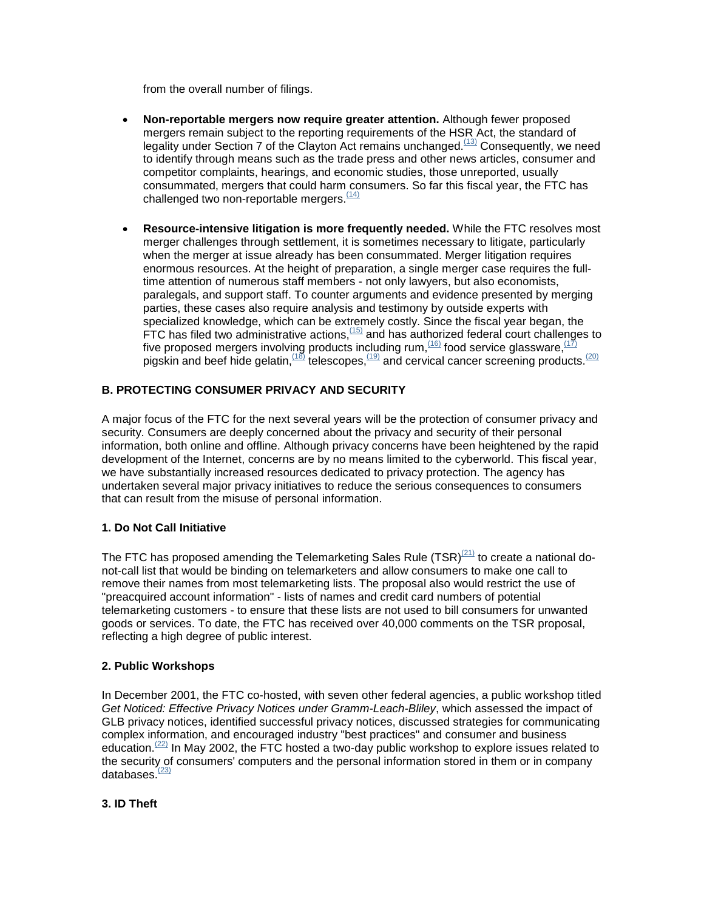from the overall number of filings.

- **Non-reportable mergers now require greater attention.** Although fewer proposed mergers remain subject to the reporting requirements of the HSR Act, the standard of legality under Section 7 of the Clayton Act remains unchanged.<sup> $(13)$ </sup> Consequently, we need to identify through means such as the trade press and other news articles, consumer and competitor complaints, hearings, and economic studies, those unreported, usually consummated, mergers that could harm consumers. So far this fiscal year, the FTC has challenged two non-reportable mergers. $(14)$
- **Resource-intensive litigation is more frequently needed.** While the FTC resolves most merger challenges through settlement, it is sometimes necessary to litigate, particularly when the merger at issue already has been consummated. Merger litigation requires enormous resources. At the height of preparation, a single merger case requires the fulltime attention of numerous staff members - not only lawyers, but also economists, paralegals, and support staff. To counter arguments and evidence presented by merging parties, these cases also require analysis and testimony by outside experts with specialized knowledge, which can be extremely costly. Since the fiscal year began, the FTC has filed two administrative actions,  $(15)$  and has authorized federal court challenges to five proposed mergers involving products including rum,  $(16)$  food service glassware,  $(17)$ pigskin and beef hide gelatin,  $\frac{(18)}{18}$  telescopes,  $\frac{(19)}{18}$  and cervical cancer screening products.  $\frac{(20)}{18}$

# **B. PROTECTING CONSUMER PRIVACY AND SECURITY**

A major focus of the FTC for the next several years will be the protection of consumer privacy and security. Consumers are deeply concerned about the privacy and security of their personal information, both online and offline. Although privacy concerns have been heightened by the rapid development of the Internet, concerns are by no means limited to the cyberworld. This fiscal year, we have substantially increased resources dedicated to privacy protection. The agency has undertaken several major privacy initiatives to reduce the serious consequences to consumers that can result from the misuse of personal information.

## **1. Do Not Call Initiative**

The FTC has proposed amending the Telemarketing Sales Rule  $(TSR)^{(21)}$  to create a national donot-call list that would be binding on telemarketers and allow consumers to make one call to remove their names from most telemarketing lists. The proposal also would restrict the use of "preacquired account information" - lists of names and credit card numbers of potential telemarketing customers - to ensure that these lists are not used to bill consumers for unwanted goods or services. To date, the FTC has received over 40,000 comments on the TSR proposal, reflecting a high degree of public interest.

## **2. Public Workshops**

In December 2001, the FTC co-hosted, with seven other federal agencies, a public workshop titled *Get Noticed: Effective Privacy Notices under Gramm-Leach-Bliley*, which assessed the impact of GLB privacy notices, identified successful privacy notices, discussed strategies for communicating complex information, and encouraged industry "best practices" and consumer and business education.<sup>(22)</sup> In May 2002, the FTC hosted a two-day public workshop to explore issues related to the security of consumers' computers and the personal information stored in them or in company databases $\frac{(23)}{2}$ 

## **3. ID Theft**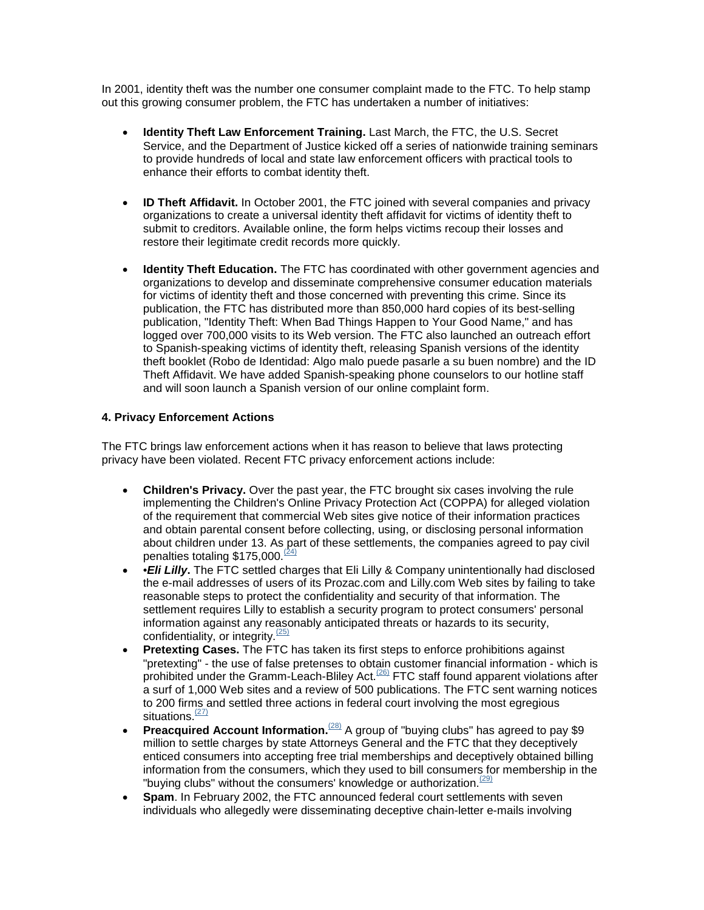In 2001, identity theft was the number one consumer complaint made to the FTC. To help stamp out this growing consumer problem, the FTC has undertaken a number of initiatives:

- **Identity Theft Law Enforcement Training.** Last March, the FTC, the U.S. Secret Service, and the Department of Justice kicked off a series of nationwide training seminars to provide hundreds of local and state law enforcement officers with practical tools to enhance their efforts to combat identity theft.
- **ID Theft Affidavit.** In October 2001, the FTC joined with several companies and privacy organizations to create a universal identity theft affidavit for victims of identity theft to submit to creditors. Available online, the form helps victims recoup their losses and restore their legitimate credit records more quickly.
- **Identity Theft Education.** The FTC has coordinated with other government agencies and organizations to develop and disseminate comprehensive consumer education materials for victims of identity theft and those concerned with preventing this crime. Since its publication, the FTC has distributed more than 850,000 hard copies of its best-selling publication, "Identity Theft: When Bad Things Happen to Your Good Name," and has logged over 700,000 visits to its Web version. The FTC also launched an outreach effort to Spanish-speaking victims of identity theft, releasing Spanish versions of the identity theft booklet (Robo de Identidad: Algo malo puede pasarle a su buen nombre) and the ID Theft Affidavit. We have added Spanish-speaking phone counselors to our hotline staff and will soon launch a Spanish version of our online complaint form.

#### **4. Privacy Enforcement Actions**

The FTC brings law enforcement actions when it has reason to believe that laws protecting privacy have been violated. Recent FTC privacy enforcement actions include:

- **Children's Privacy.** Over the past year, the FTC brought six cases involving the rule implementing the Children's Online Privacy Protection Act (COPPA) for alleged violation of the requirement that commercial Web sites give notice of their information practices and obtain parental consent before collecting, using, or disclosing personal information about children under 13. As part of these settlements, the companies agreed to pay civil penalties totaling  $$175,000$ .<sup>(24)</sup>
- •*Eli Lilly***.** The FTC settled charges that Eli Lilly & Company unintentionally had disclosed the e-mail addresses of users of its Prozac.com and Lilly.com Web sites by failing to take reasonable steps to protect the confidentiality and security of that information. The settlement requires Lilly to establish a security program to protect consumers' personal information against any reasonably anticipated threats or hazards to its security, confidentiality, or integrity. $(25)$
- **Pretexting Cases.** The FTC has taken its first steps to enforce prohibitions against "pretexting" - the use of false pretenses to obtain customer financial information - which is prohibited under the Gramm-Leach-Bliley Act.<sup> $(26)$ </sup> FTC staff found apparent violations after a surf of 1,000 Web sites and a review of 500 publications. The FTC sent warning notices to 200 firms and settled three actions in federal court involving the most egregious situations.<sup>(27)</sup>
- **Preacquired Account Information.**<sup>(28)</sup> A group of "buying clubs" has agreed to pay \$9 million to settle charges by state Attorneys General and the FTC that they deceptively enticed consumers into accepting free trial memberships and deceptively obtained billing information from the consumers, which they used to bill consumers for membership in the "buying clubs" without the consumers' knowledge or authorization.  $(29)$
- **Spam**. In February 2002, the FTC announced federal court settlements with seven individuals who allegedly were disseminating deceptive chain-letter e-mails involving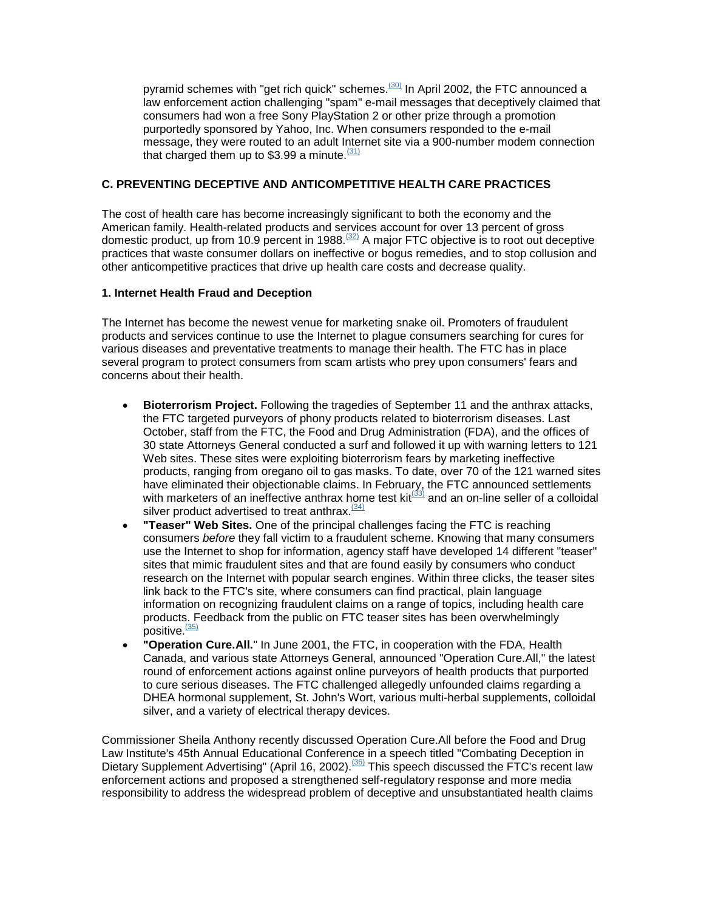pyramid schemes with "get rich quick" schemes.<sup>(30)</sup> In April 2002, the FTC announced a law enforcement action challenging "spam" e-mail messages that deceptively claimed that consumers had won a free Sony PlayStation 2 or other prize through a promotion purportedly sponsored by Yahoo, Inc. When consumers responded to the e-mail message, they were routed to an adult Internet site via a 900-number modem connection that charged them up to \$3.99 a minute.  $(31)$ 

### **C. PREVENTING DECEPTIVE AND ANTICOMPETITIVE HEALTH CARE PRACTICES**

The cost of health care has become increasingly significant to both the economy and the American family. Health-related products and services account for over 13 percent of gross domestic product, up from 10.9 percent in 1988.<sup>(32)</sup> A major FTC objective is to root out deceptive practices that waste consumer dollars on ineffective or bogus remedies, and to stop collusion and other anticompetitive practices that drive up health care costs and decrease quality.

#### **1. Internet Health Fraud and Deception**

The Internet has become the newest venue for marketing snake oil. Promoters of fraudulent products and services continue to use the Internet to plague consumers searching for cures for various diseases and preventative treatments to manage their health. The FTC has in place several program to protect consumers from scam artists who prey upon consumers' fears and concerns about their health.

- **Bioterrorism Project.** Following the tragedies of September 11 and the anthrax attacks, the FTC targeted purveyors of phony products related to bioterrorism diseases. Last October, staff from the FTC, the Food and Drug Administration (FDA), and the offices of 30 state Attorneys General conducted a surf and followed it up with warning letters to 121 Web sites. These sites were exploiting bioterrorism fears by marketing ineffective products, ranging from oregano oil to gas masks. To date, over 70 of the 121 warned sites have eliminated their objectionable claims. In February, the FTC announced settlements with marketers of an ineffective anthrax home test kit $\frac{(33)}{3}$  and an on-line seller of a colloidal silver product advertised to treat anthrax.  $(34)$
- **"Teaser" Web Sites.** One of the principal challenges facing the FTC is reaching consumers *before* they fall victim to a fraudulent scheme. Knowing that many consumers use the Internet to shop for information, agency staff have developed 14 different "teaser" sites that mimic fraudulent sites and that are found easily by consumers who conduct research on the Internet with popular search engines. Within three clicks, the teaser sites link back to the FTC's site, where consumers can find practical, plain language information on recognizing fraudulent claims on a range of topics, including health care products. Feedback from the public on FTC teaser sites has been overwhelmingly  $_{\text{positive}}^{\text{}}$ .
- **"Operation Cure.All.**" In June 2001, the FTC, in cooperation with the FDA, Health Canada, and various state Attorneys General, announced "Operation Cure.All," the latest round of enforcement actions against online purveyors of health products that purported to cure serious diseases. The FTC challenged allegedly unfounded claims regarding a DHEA hormonal supplement, St. John's Wort, various multi-herbal supplements, colloidal silver, and a variety of electrical therapy devices.

Commissioner Sheila Anthony recently discussed Operation Cure.All before the Food and Drug Law Institute's 45th Annual Educational Conference in a speech titled "Combating Deception in Dietary Supplement Advertising" (April 16, 2002).<sup>(36)</sup> This speech discussed the FTC's recent law enforcement actions and proposed a strengthened self-regulatory response and more media responsibility to address the widespread problem of deceptive and unsubstantiated health claims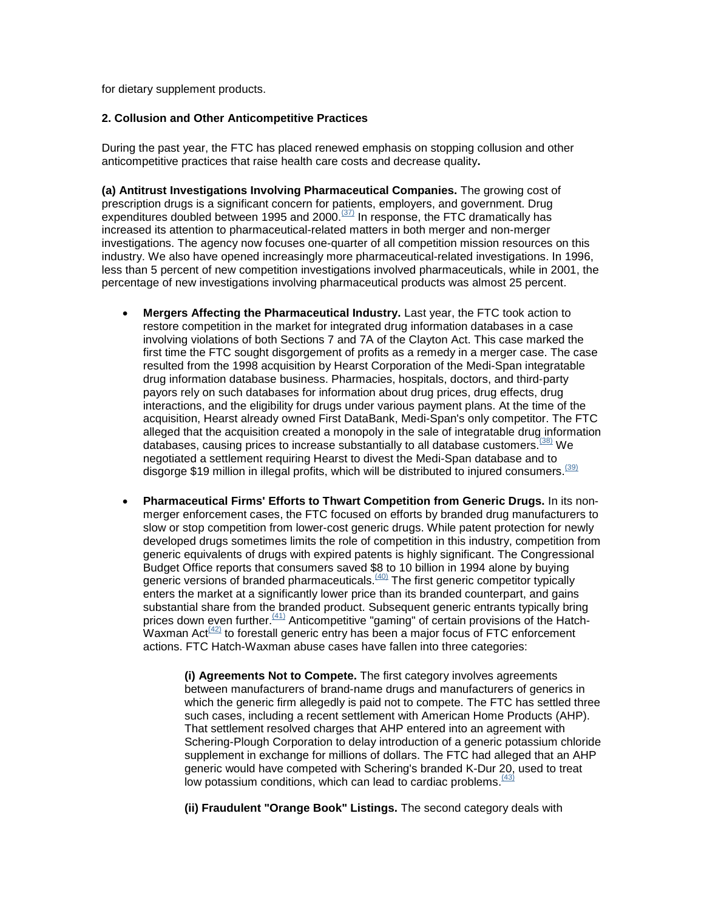for dietary supplement products.

#### **2. Collusion and Other Anticompetitive Practices**

During the past year, the FTC has placed renewed emphasis on stopping collusion and other anticompetitive practices that raise health care costs and decrease quality**.**

**(a) Antitrust Investigations Involving Pharmaceutical Companies.** The growing cost of prescription drugs is a significant concern for patients, employers, and government. Drug expenditures doubled between 1995 and 2000.<sup> $(37)$ </sup> In response, the FTC dramatically has increased its attention to pharmaceutical-related matters in both merger and non-merger investigations. The agency now focuses one-quarter of all competition mission resources on this industry. We also have opened increasingly more pharmaceutical-related investigations. In 1996, less than 5 percent of new competition investigations involved pharmaceuticals, while in 2001, the percentage of new investigations involving pharmaceutical products was almost 25 percent.

- **Mergers Affecting the Pharmaceutical Industry.** Last year, the FTC took action to restore competition in the market for integrated drug information databases in a case involving violations of both Sections 7 and 7A of the Clayton Act. This case marked the first time the FTC sought disgorgement of profits as a remedy in a merger case. The case resulted from the 1998 acquisition by Hearst Corporation of the Medi-Span integratable drug information database business. Pharmacies, hospitals, doctors, and third-party payors rely on such databases for information about drug prices, drug effects, drug interactions, and the eligibility for drugs under various payment plans. At the time of the acquisition, Hearst already owned First DataBank, Medi-Span's only competitor. The FTC alleged that the acquisition created a monopoly in the sale of integratable drug information databases, causing prices to increase substantially to all database customers.<sup>[38]</sup> We negotiated a settlement requiring Hearst to divest the Medi-Span database and to disgorge \$19 million in illegal profits, which will be distributed to injured consumers.<sup>(39)</sup>
- **Pharmaceutical Firms' Efforts to Thwart Competition from Generic Drugs.** In its nonmerger enforcement cases, the FTC focused on efforts by branded drug manufacturers to slow or stop competition from lower-cost generic drugs. While patent protection for newly developed drugs sometimes limits the role of competition in this industry, competition from generic equivalents of drugs with expired patents is highly significant. The Congressional Budget Office reports that consumers saved \$8 to 10 billion in 1994 alone by buying generic versions of branded pharmaceuticals.<sup>(40)</sup> The first generic competitor typically enters the market at a significantly lower price than its branded counterpart, and gains substantial share from the branded product. Subsequent generic entrants typically bring prices down even further.<sup>(41)</sup> Anticompetitive "gaming" of certain provisions of the Hatch-Waxman Act $^{(42)}$  to forestall generic entry has been a major focus of FTC enforcement actions. FTC Hatch-Waxman abuse cases have fallen into three categories:

**(i) Agreements Not to Compete.** The first category involves agreements between manufacturers of brand-name drugs and manufacturers of generics in which the generic firm allegedly is paid not to compete. The FTC has settled three such cases, including a recent settlement with American Home Products (AHP). That settlement resolved charges that AHP entered into an agreement with Schering-Plough Corporation to delay introduction of a generic potassium chloride supplement in exchange for millions of dollars. The FTC had alleged that an AHP generic would have competed with Schering's branded K-Dur 20, used to treat low potassium conditions, which can lead to cardiac problems. $\frac{(43)}{(43)}$ 

**(ii) Fraudulent "Orange Book" Listings.** The second category deals with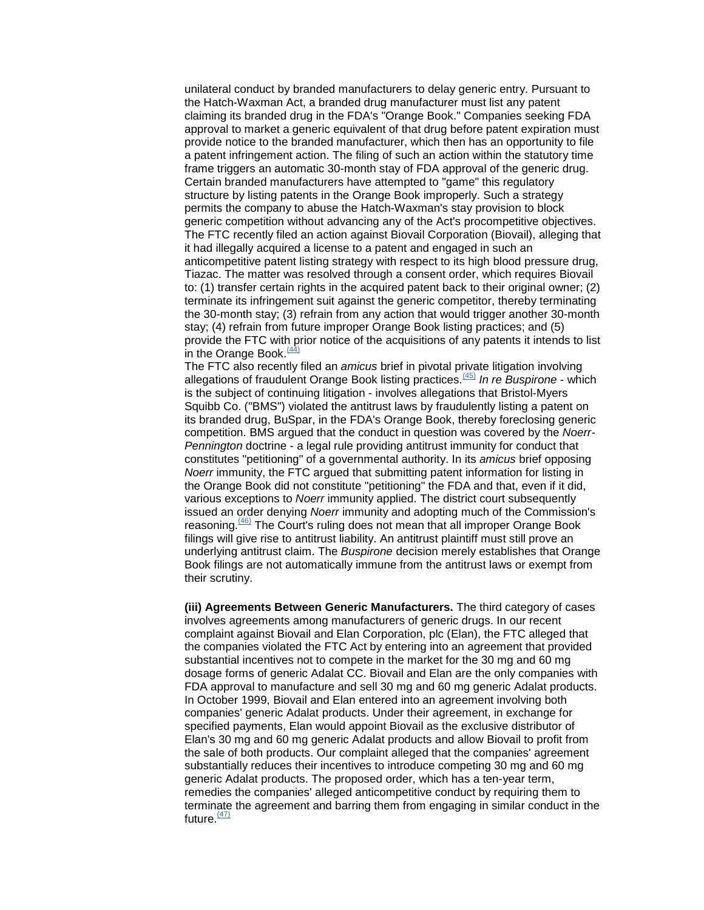unilateral conduct by branded manufacturers to delay generic entry. Pursuant to the Hatch-Waxman Act, a branded drug manufacturer must list any patent claiming its branded drug in the FDA's "Orange Book." Companies seeking FDA approval to market a generic equivalent of that drug before patent expiration must provide notice to the branded manufacturer, which then has an opportunity to file a patent infringement action. The filing of such an action within the statutory time frame triggers an automatic 30-month stay of FDA approval of the generic drug. Certain branded manufacturers have attempted to "game" this regulatory structure by listing patents in the Orange Book improperly. Such a strategy permits the company to abuse the Hatch-Waxman's stay provision to block generic competition without advancing any of the Act's procompetitive objectives. The FTC recently filed an action against Biovail Corporation (Biovail), alleging that it had illegally acquired a license to a patent and engaged in such an anticompetitive patent listing strategy with respect to its high blood pressure drug, Tiazac. The matter was resolved through a consent order, which requires Biovail to: (1) transfer certain rights in the acquired patent back to their original owner; (2) terminate its infringement suit against the generic competitor, thereby terminating the 30-month stay; (3) refrain from any action that would trigger another 30-month stay; (4) refrain from future improper Orange Book listing practices; and (5) provide the FTC with prior notice of the acquisitions of any patents it intends to list in the Orange Book.<sup>(44)</sup><br>The FTC also recently filed an *amicus* brief in pivotal private litigation involving

allegations of fraudulent Orange Book listing practices.<sup>(45)</sup> In re Buspirone - which is the subject of continuing litigation - involves allegations that Bristol-Myers Squibb Co. ("BMS") violated the antitrust laws by fraudulently listing a patent on its branded drug, BuSpar, in the FDA's Orange Book, thereby foreclosing generic competition. BMS argued that the conduct in question was covered by the *Noerr-Pennington* doctrine - a legal rule providing antitrust immunity for conduct that constitutes "petitioning" of a governmental authority. In its *amicus* brief opposing *Noerr* immunity, the FTC argued that submitting patent information for listing in the Orange Book did not constitute "petitioning" the FDA and that, even if it did, various exceptions to *Noerr* immunity applied. The district court subsequently issued an order denying *Noerr* immunity and adopting much of the Commission's reasoning.<sup>(46)</sup> The Court's ruling does not mean that all improper Orange Book filings will give rise to antitrust liability. An antitrust plaintiff must still prove an underlying antitrust claim. The *Buspirone* decision merely establishes that Orange Book filings are not automatically immune from the antitrust laws or exempt from their scrutiny.

**(iii) Agreements Between Generic Manufacturers.** The third category of cases involves agreements among manufacturers of generic drugs. In our recent complaint against Biovail and Elan Corporation, plc (Elan), the FTC alleged that the companies violated the FTC Act by entering into an agreement that provided substantial incentives not to compete in the market for the 30 mg and 60 mg dosage forms of generic Adalat CC. Biovail and Elan are the only companies with FDA approval to manufacture and sell 30 mg and 60 mg generic Adalat products. In October 1999, Biovail and Elan entered into an agreement involving both companies' generic Adalat products. Under their agreement, in exchange for specified payments, Elan would appoint Biovail as the exclusive distributor of Elan's 30 mg and 60 mg generic Adalat products and allow Biovail to profit from the sale of both products. Our complaint alleged that the companies' agreement substantially reduces their incentives to introduce competing 30 mg and 60 mg generic Adalat products. The proposed order, which has a ten-year term, remedies the companies' alleged anticompetitive conduct by requiring them to terminate the agreement and barring them from engaging in similar conduct in the future. $\frac{(47)}{2}$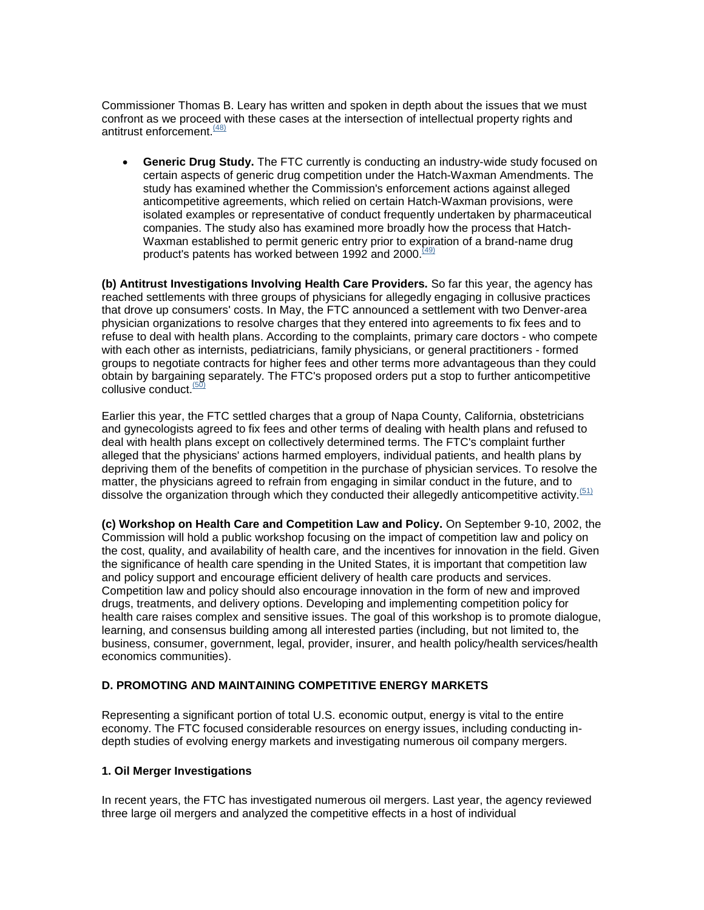Commissioner Thomas B. Leary has written and spoken in depth about the issues that we must confront as we proceed with these cases at the intersection of intellectual property rights and antitrust enforcement.  $(48)$ 

• **Generic Drug Study.** The FTC currently is conducting an industry-wide study focused on certain aspects of generic drug competition under the Hatch-Waxman Amendments. The study has examined whether the Commission's enforcement actions against alleged anticompetitive agreements, which relied on certain Hatch-Waxman provisions, were isolated examples or representative of conduct frequently undertaken by pharmaceutical companies. The study also has examined more broadly how the process that Hatch-Waxman established to permit generic entry prior to expiration of a brand-name drug product's patents has worked between 1992 and 2000.<sup>[49]</sup>

**(b) Antitrust Investigations Involving Health Care Providers.** So far this year, the agency has reached settlements with three groups of physicians for allegedly engaging in collusive practices that drove up consumers' costs. In May, the FTC announced a settlement with two Denver-area physician organizations to resolve charges that they entered into agreements to fix fees and to refuse to deal with health plans. According to the complaints, primary care doctors - who compete with each other as internists, pediatricians, family physicians, or general practitioners - formed groups to negotiate contracts for higher fees and other terms more advantageous than they could obtain by bargaining separately. The FTC's proposed orders put a stop to further anticompetitive collusive conduct<sup>(50)</sup>

Earlier this year, the FTC settled charges that a group of Napa County, California, obstetricians and gynecologists agreed to fix fees and other terms of dealing with health plans and refused to deal with health plans except on collectively determined terms. The FTC's complaint further alleged that the physicians' actions harmed employers, individual patients, and health plans by depriving them of the benefits of competition in the purchase of physician services. To resolve the matter, the physicians agreed to refrain from engaging in similar conduct in the future, and to dissolve the organization through which they conducted their allegedly anticompetitive activity.<sup>(51)</sup>

**(c) Workshop on Health Care and Competition Law and Policy.** On September 9-10, 2002, the Commission will hold a public workshop focusing on the impact of competition law and policy on the cost, quality, and availability of health care, and the incentives for innovation in the field. Given the significance of health care spending in the United States, it is important that competition law and policy support and encourage efficient delivery of health care products and services. Competition law and policy should also encourage innovation in the form of new and improved drugs, treatments, and delivery options. Developing and implementing competition policy for health care raises complex and sensitive issues. The goal of this workshop is to promote dialogue, learning, and consensus building among all interested parties (including, but not limited to, the business, consumer, government, legal, provider, insurer, and health policy/health services/health economics communities).

#### **D. PROMOTING AND MAINTAINING COMPETITIVE ENERGY MARKETS**

Representing a significant portion of total U.S. economic output, energy is vital to the entire economy. The FTC focused considerable resources on energy issues, including conducting indepth studies of evolving energy markets and investigating numerous oil company mergers.

#### **1. Oil Merger Investigations**

In recent years, the FTC has investigated numerous oil mergers. Last year, the agency reviewed three large oil mergers and analyzed the competitive effects in a host of individual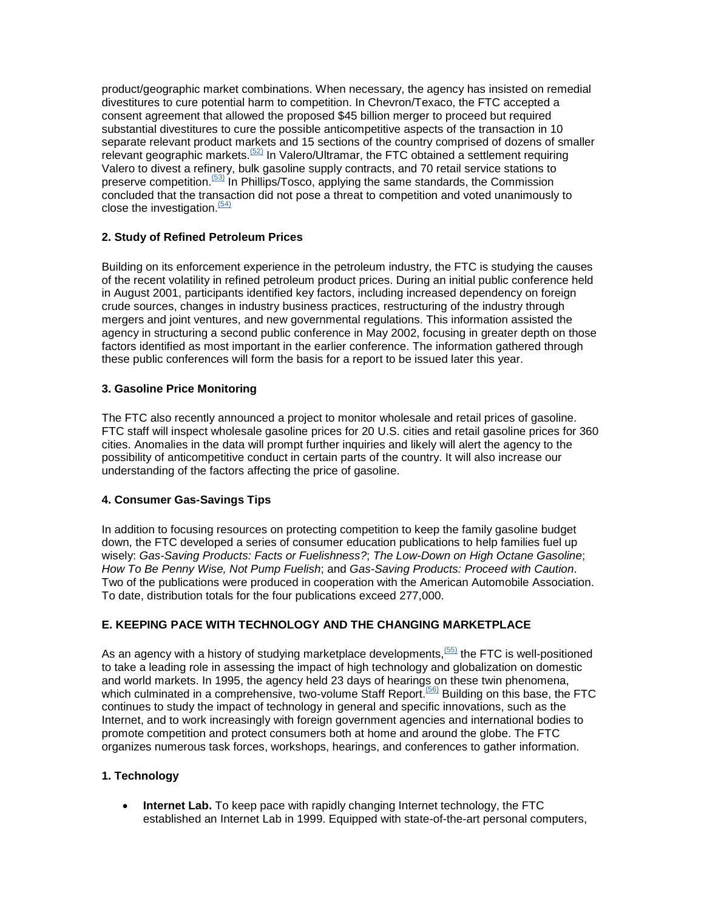product/geographic market combinations. When necessary, the agency has insisted on remedial divestitures to cure potential harm to competition. In Chevron/Texaco, the FTC accepted a consent agreement that allowed the proposed \$45 billion merger to proceed but required substantial divestitures to cure the possible anticompetitive aspects of the transaction in 10 separate relevant product markets and 15 sections of the country comprised of dozens of smaller relevant geographic markets.<sup> $(52)$ </sup> In Valero/Ultramar, the FTC obtained a settlement requiring Valero to divest a refinery, bulk gasoline supply contracts, and 70 retail service stations to preserve competition.<sup> $(53)$ </sup> In Phillips/Tosco, applying the same standards, the Commission concluded that the transaction did not pose a threat to competition and voted unanimously to close the investigation. $(54)$ 

# **2. Study of Refined Petroleum Prices**

Building on its enforcement experience in the petroleum industry, the FTC is studying the causes of the recent volatility in refined petroleum product prices. During an initial public conference held in August 2001, participants identified key factors, including increased dependency on foreign crude sources, changes in industry business practices, restructuring of the industry through mergers and joint ventures, and new governmental regulations. This information assisted the agency in structuring a second public conference in May 2002, focusing in greater depth on those factors identified as most important in the earlier conference. The information gathered through these public conferences will form the basis for a report to be issued later this year.

## **3. Gasoline Price Monitoring**

The FTC also recently announced a project to monitor wholesale and retail prices of gasoline. FTC staff will inspect wholesale gasoline prices for 20 U.S. cities and retail gasoline prices for 360 cities. Anomalies in the data will prompt further inquiries and likely will alert the agency to the possibility of anticompetitive conduct in certain parts of the country. It will also increase our understanding of the factors affecting the price of gasoline.

## **4. Consumer Gas-Savings Tips**

In addition to focusing resources on protecting competition to keep the family gasoline budget down, the FTC developed a series of consumer education publications to help families fuel up wisely: *Gas-Saving Products: Facts or Fuelishness?*; *The Low-Down on High Octane Gasoline*; *How To Be Penny Wise, Not Pump Fuelish*; and *Gas-Saving Products: Proceed with Caution*. Two of the publications were produced in cooperation with the American Automobile Association. To date, distribution totals for the four publications exceed 277,000.

# **E. KEEPING PACE WITH TECHNOLOGY AND THE CHANGING MARKETPLACE**

As an agency with a history of studying marketplace developments,  $(55)$  the FTC is well-positioned to take a leading role in assessing the impact of high technology and globalization on domestic and world markets. In 1995, the agency held 23 days of hearings on these twin phenomena, which culminated in a comprehensive, two-volume Staff Report.<sup>(56)</sup> Building on this base, the FTC continues to study the impact of technology in general and specific innovations, such as the Internet, and to work increasingly with foreign government agencies and international bodies to promote competition and protect consumers both at home and around the globe. The FTC organizes numerous task forces, workshops, hearings, and conferences to gather information.

## **1. Technology**

**Internet Lab.** To keep pace with rapidly changing Internet technology, the FTC established an Internet Lab in 1999. Equipped with state-of-the-art personal computers,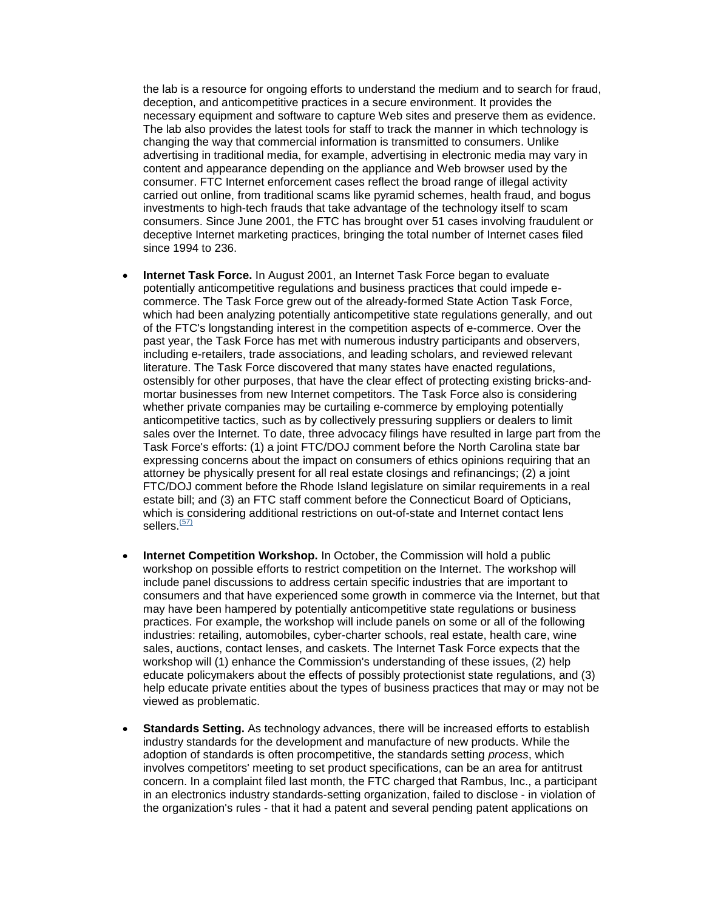the lab is a resource for ongoing efforts to understand the medium and to search for fraud, deception, and anticompetitive practices in a secure environment. It provides the necessary equipment and software to capture Web sites and preserve them as evidence. The lab also provides the latest tools for staff to track the manner in which technology is changing the way that commercial information is transmitted to consumers. Unlike advertising in traditional media, for example, advertising in electronic media may vary in content and appearance depending on the appliance and Web browser used by the consumer. FTC Internet enforcement cases reflect the broad range of illegal activity carried out online, from traditional scams like pyramid schemes, health fraud, and bogus investments to high-tech frauds that take advantage of the technology itself to scam consumers. Since June 2001, the FTC has brought over 51 cases involving fraudulent or deceptive Internet marketing practices, bringing the total number of Internet cases filed since 1994 to 236.

- **Internet Task Force.** In August 2001, an Internet Task Force began to evaluate potentially anticompetitive regulations and business practices that could impede ecommerce. The Task Force grew out of the already-formed State Action Task Force, which had been analyzing potentially anticompetitive state regulations generally, and out of the FTC's longstanding interest in the competition aspects of e-commerce. Over the past year, the Task Force has met with numerous industry participants and observers, including e-retailers, trade associations, and leading scholars, and reviewed relevant literature. The Task Force discovered that many states have enacted regulations, ostensibly for other purposes, that have the clear effect of protecting existing bricks-andmortar businesses from new Internet competitors. The Task Force also is considering whether private companies may be curtailing e-commerce by employing potentially anticompetitive tactics, such as by collectively pressuring suppliers or dealers to limit sales over the Internet. To date, three advocacy filings have resulted in large part from the Task Force's efforts: (1) a joint FTC/DOJ comment before the North Carolina state bar expressing concerns about the impact on consumers of ethics opinions requiring that an attorney be physically present for all real estate closings and refinancings; (2) a joint FTC/DOJ comment before the Rhode Island legislature on similar requirements in a real estate bill; and (3) an FTC staff comment before the Connecticut Board of Opticians, which is considering additional restrictions on out-of-state and Internet contact lens sellers. $(57)$
- **Internet Competition Workshop.** In October, the Commission will hold a public workshop on possible efforts to restrict competition on the Internet. The workshop will include panel discussions to address certain specific industries that are important to consumers and that have experienced some growth in commerce via the Internet, but that may have been hampered by potentially anticompetitive state regulations or business practices. For example, the workshop will include panels on some or all of the following industries: retailing, automobiles, cyber-charter schools, real estate, health care, wine sales, auctions, contact lenses, and caskets. The Internet Task Force expects that the workshop will (1) enhance the Commission's understanding of these issues, (2) help educate policymakers about the effects of possibly protectionist state regulations, and (3) help educate private entities about the types of business practices that may or may not be viewed as problematic.
- **Standards Setting.** As technology advances, there will be increased efforts to establish industry standards for the development and manufacture of new products. While the adoption of standards is often procompetitive, the standards setting *process*, which involves competitors' meeting to set product specifications, can be an area for antitrust concern. In a complaint filed last month, the FTC charged that Rambus, Inc., a participant in an electronics industry standards-setting organization, failed to disclose - in violation of the organization's rules - that it had a patent and several pending patent applications on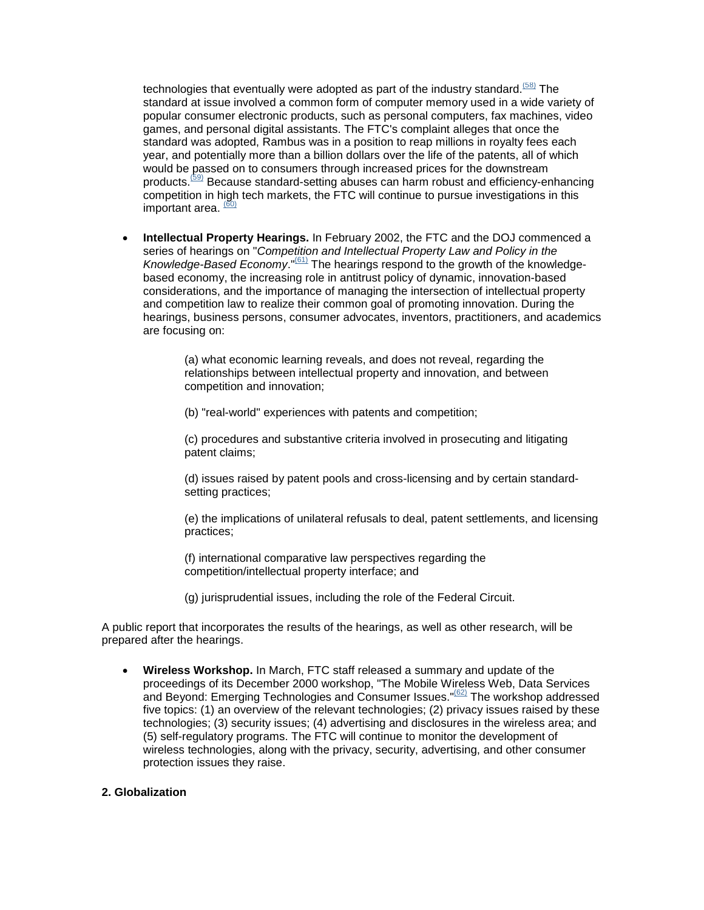technologies that eventually were adopted as part of the industry standard.<sup> $(58)$ </sup> The standard at issue involved a common form of computer memory used in a wide variety of popular consumer electronic products, such as personal computers, fax machines, video games, and personal digital assistants. The FTC's complaint alleges that once the standard was adopted, Rambus was in a position to reap millions in royalty fees each year, and potentially more than a billion dollars over the life of the patents, all of which would be passed on to consumers through increased prices for the downstream products.<sup>(59)</sup> Because standard-setting abuses can harm robust and efficiency-enhancing competition in high tech markets, the FTC will continue to pursue investigations in this important area. <sup>60</sup>

• **Intellectual Property Hearings.** In February 2002, the FTC and the DOJ commenced a series of hearings on "*Competition and Intellectual Property Law and Policy in the Knowledge-Based Economy*."(61) The hearings respond to the growth of the knowledgebased economy, the increasing role in antitrust policy of dynamic, innovation-based considerations, and the importance of managing the intersection of intellectual property and competition law to realize their common goal of promoting innovation. During the hearings, business persons, consumer advocates, inventors, practitioners, and academics are focusing on:

> (a) what economic learning reveals, and does not reveal, regarding the relationships between intellectual property and innovation, and between competition and innovation;

(b) "real-world" experiences with patents and competition;

(c) procedures and substantive criteria involved in prosecuting and litigating patent claims;

(d) issues raised by patent pools and cross-licensing and by certain standardsetting practices;

(e) the implications of unilateral refusals to deal, patent settlements, and licensing practices;

(f) international comparative law perspectives regarding the competition/intellectual property interface; and

(g) jurisprudential issues, including the role of the Federal Circuit.

A public report that incorporates the results of the hearings, as well as other research, will be prepared after the hearings.

• **Wireless Workshop.** In March, FTC staff released a summary and update of the proceedings of its December 2000 workshop, "The Mobile Wireless Web, Data Services and Beyond: Emerging Technologies and Consumer Issues."<sup>(62)</sup> The workshop addressed five topics: (1) an overview of the relevant technologies; (2) privacy issues raised by these technologies; (3) security issues; (4) advertising and disclosures in the wireless area; and (5) self-regulatory programs. The FTC will continue to monitor the development of wireless technologies, along with the privacy, security, advertising, and other consumer protection issues they raise.

#### **2. Globalization**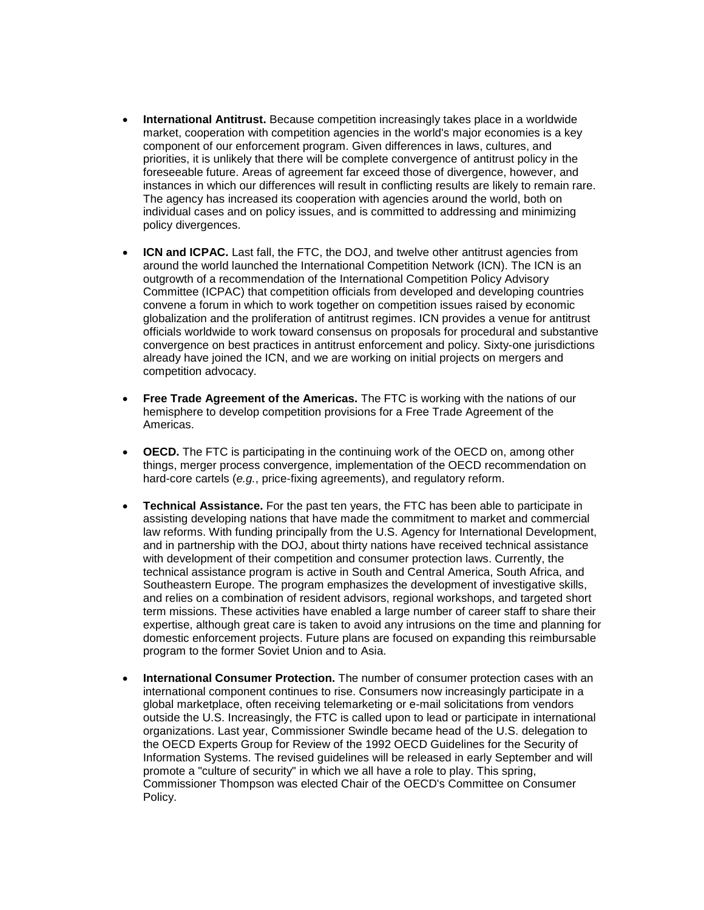- **International Antitrust.** Because competition increasingly takes place in a worldwide market, cooperation with competition agencies in the world's major economies is a key component of our enforcement program. Given differences in laws, cultures, and priorities, it is unlikely that there will be complete convergence of antitrust policy in the foreseeable future. Areas of agreement far exceed those of divergence, however, and instances in which our differences will result in conflicting results are likely to remain rare. The agency has increased its cooperation with agencies around the world, both on individual cases and on policy issues, and is committed to addressing and minimizing policy divergences.
- **ICN and ICPAC.** Last fall, the FTC, the DOJ, and twelve other antitrust agencies from around the world launched the International Competition Network (ICN). The ICN is an outgrowth of a recommendation of the International Competition Policy Advisory Committee (ICPAC) that competition officials from developed and developing countries convene a forum in which to work together on competition issues raised by economic globalization and the proliferation of antitrust regimes. ICN provides a venue for antitrust officials worldwide to work toward consensus on proposals for procedural and substantive convergence on best practices in antitrust enforcement and policy. Sixty-one jurisdictions already have joined the ICN, and we are working on initial projects on mergers and competition advocacy.
- **Free Trade Agreement of the Americas.** The FTC is working with the nations of our hemisphere to develop competition provisions for a Free Trade Agreement of the Americas.
- **OECD.** The FTC is participating in the continuing work of the OECD on, among other things, merger process convergence, implementation of the OECD recommendation on hard-core cartels (*e.g.*, price-fixing agreements), and regulatory reform.
- **Technical Assistance.** For the past ten years, the FTC has been able to participate in assisting developing nations that have made the commitment to market and commercial law reforms. With funding principally from the U.S. Agency for International Development, and in partnership with the DOJ, about thirty nations have received technical assistance with development of their competition and consumer protection laws. Currently, the technical assistance program is active in South and Central America, South Africa, and Southeastern Europe. The program emphasizes the development of investigative skills, and relies on a combination of resident advisors, regional workshops, and targeted short term missions. These activities have enabled a large number of career staff to share their expertise, although great care is taken to avoid any intrusions on the time and planning for domestic enforcement projects. Future plans are focused on expanding this reimbursable program to the former Soviet Union and to Asia.
- **International Consumer Protection.** The number of consumer protection cases with an international component continues to rise. Consumers now increasingly participate in a global marketplace, often receiving telemarketing or e-mail solicitations from vendors outside the U.S. Increasingly, the FTC is called upon to lead or participate in international organizations. Last year, Commissioner Swindle became head of the U.S. delegation to the OECD Experts Group for Review of the 1992 OECD Guidelines for the Security of Information Systems. The revised guidelines will be released in early September and will promote a "culture of security" in which we all have a role to play. This spring, Commissioner Thompson was elected Chair of the OECD's Committee on Consumer Policy.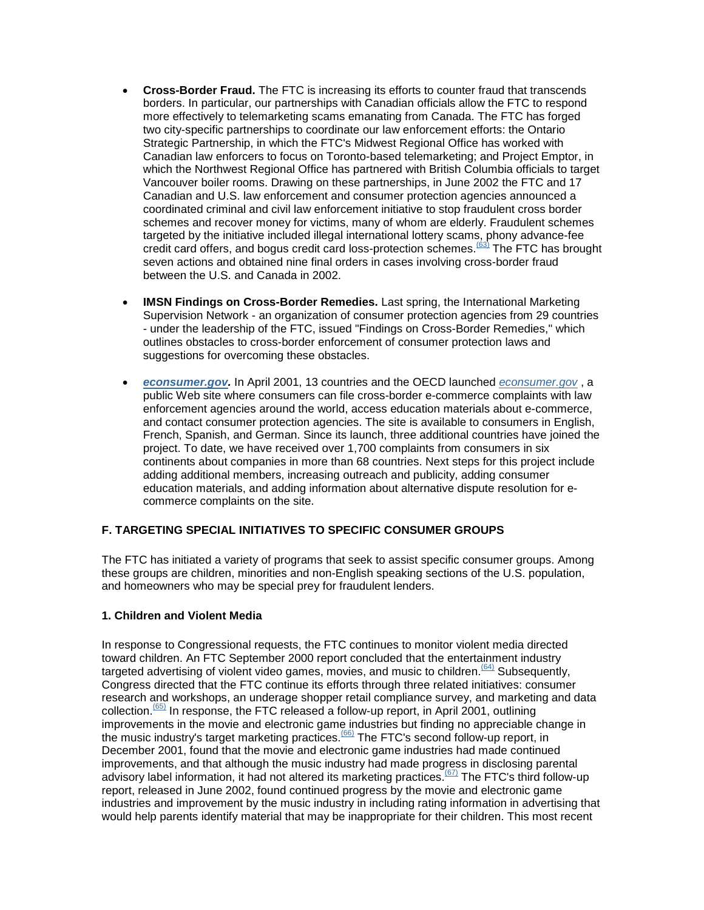- **Cross-Border Fraud.** The FTC is increasing its efforts to counter fraud that transcends borders. In particular, our partnerships with Canadian officials allow the FTC to respond more effectively to telemarketing scams emanating from Canada. The FTC has forged two city-specific partnerships to coordinate our law enforcement efforts: the Ontario Strategic Partnership, in which the FTC's Midwest Regional Office has worked with Canadian law enforcers to focus on Toronto-based telemarketing; and Project Emptor, in which the Northwest Regional Office has partnered with British Columbia officials to target Vancouver boiler rooms. Drawing on these partnerships, in June 2002 the FTC and 17 Canadian and U.S. law enforcement and consumer protection agencies announced a coordinated criminal and civil law enforcement initiative to stop fraudulent cross border schemes and recover money for victims, many of whom are elderly. Fraudulent schemes targeted by the initiative included illegal international lottery scams, phony advance-fee credit card offers, and bogus credit card loss-protection schemes.<sup>(63)</sup> The FTC has brought seven actions and obtained nine final orders in cases involving cross-border fraud between the U.S. and Canada in 2002.
- **IMSN Findings on Cross-Border Remedies.** Last spring, the International Marketing Supervision Network - an organization of consumer protection agencies from 29 countries - under the leadership of the FTC, issued "Findings on Cross-Border Remedies," which outlines obstacles to cross-border enforcement of consumer protection laws and suggestions for overcoming these obstacles.
- *[econsumer.gov.](http://www.econsumer.gov/)* In April 2001, 13 countries and the OECD launched *[econsumer.gov](http://www.econsumer.gov/)* , a public Web site where consumers can file cross-border e-commerce complaints with law enforcement agencies around the world, access education materials about e-commerce, and contact consumer protection agencies. The site is available to consumers in English, French, Spanish, and German. Since its launch, three additional countries have joined the project. To date, we have received over 1,700 complaints from consumers in six continents about companies in more than 68 countries. Next steps for this project include adding additional members, increasing outreach and publicity, adding consumer education materials, and adding information about alternative dispute resolution for ecommerce complaints on the site.

## **F. TARGETING SPECIAL INITIATIVES TO SPECIFIC CONSUMER GROUPS**

The FTC has initiated a variety of programs that seek to assist specific consumer groups. Among these groups are children, minorities and non-English speaking sections of the U.S. population, and homeowners who may be special prey for fraudulent lenders.

#### **1. Children and Violent Media**

In response to Congressional requests, the FTC continues to monitor violent media directed toward children. An FTC September 2000 report concluded that the entertainment industry targeted advertising of violent video games, movies, and music to children.  $(64)$  Subsequently, Congress directed that the FTC continue its efforts through three related initiatives: consumer research and workshops, an underage shopper retail compliance survey, and marketing and data collection.<sup>(65)</sup> In response, the FTC released a follow-up report, in April 2001, outlining improvements in the movie and electronic game industries but finding no appreciable change in the music industry's target marketing practices.<sup>(66)</sup> The FTC's second follow-up report, in December 2001, found that the movie and electronic game industries had made continued improvements, and that although the music industry had made progress in disclosing parental advisory label information, it had not altered its marketing practices.<sup>(67)</sup> The FTC's third follow-up report, released in June 2002, found continued progress by the movie and electronic game industries and improvement by the music industry in including rating information in advertising that would help parents identify material that may be inappropriate for their children. This most recent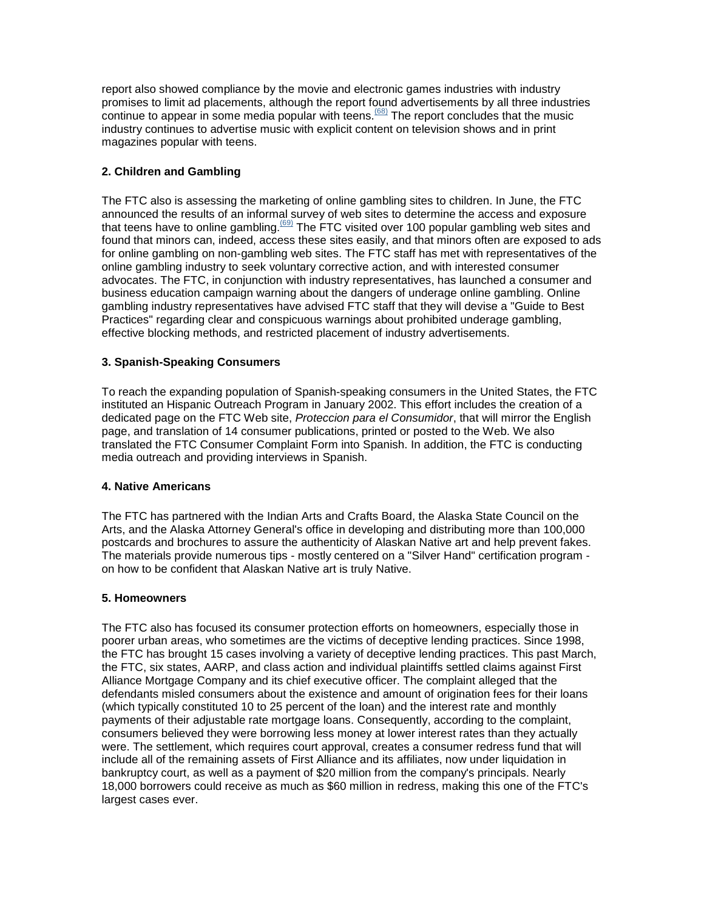report also showed compliance by the movie and electronic games industries with industry promises to limit ad placements, although the report found advertisements by all three industries continue to appear in some media popular with teens.(68) The report concludes that the music industry continues to advertise music with explicit content on television shows and in print magazines popular with teens.

## **2. Children and Gambling**

The FTC also is assessing the marketing of online gambling sites to children. In June, the FTC announced the results of an informal survey of web sites to determine the access and exposure that teens have to online gambling.<sup> $(69)$ </sup> The FTC visited over 100 popular gambling web sites and found that minors can, indeed, access these sites easily, and that minors often are exposed to ads for online gambling on non-gambling web sites. The FTC staff has met with representatives of the online gambling industry to seek voluntary corrective action, and with interested consumer advocates. The FTC, in conjunction with industry representatives, has launched a consumer and business education campaign warning about the dangers of underage online gambling. Online gambling industry representatives have advised FTC staff that they will devise a "Guide to Best Practices" regarding clear and conspicuous warnings about prohibited underage gambling, effective blocking methods, and restricted placement of industry advertisements.

## **3. Spanish-Speaking Consumers**

To reach the expanding population of Spanish-speaking consumers in the United States, the FTC instituted an Hispanic Outreach Program in January 2002. This effort includes the creation of a dedicated page on the FTC Web site, *Proteccion para el Consumidor*, that will mirror the English page, and translation of 14 consumer publications, printed or posted to the Web. We also translated the FTC Consumer Complaint Form into Spanish. In addition, the FTC is conducting media outreach and providing interviews in Spanish.

#### **4. Native Americans**

The FTC has partnered with the Indian Arts and Crafts Board, the Alaska State Council on the Arts, and the Alaska Attorney General's office in developing and distributing more than 100,000 postcards and brochures to assure the authenticity of Alaskan Native art and help prevent fakes. The materials provide numerous tips - mostly centered on a "Silver Hand" certification program on how to be confident that Alaskan Native art is truly Native.

#### **5. Homeowners**

The FTC also has focused its consumer protection efforts on homeowners, especially those in poorer urban areas, who sometimes are the victims of deceptive lending practices. Since 1998, the FTC has brought 15 cases involving a variety of deceptive lending practices. This past March, the FTC, six states, AARP, and class action and individual plaintiffs settled claims against First Alliance Mortgage Company and its chief executive officer. The complaint alleged that the defendants misled consumers about the existence and amount of origination fees for their loans (which typically constituted 10 to 25 percent of the loan) and the interest rate and monthly payments of their adjustable rate mortgage loans. Consequently, according to the complaint, consumers believed they were borrowing less money at lower interest rates than they actually were. The settlement, which requires court approval, creates a consumer redress fund that will include all of the remaining assets of First Alliance and its affiliates, now under liquidation in bankruptcy court, as well as a payment of \$20 million from the company's principals. Nearly 18,000 borrowers could receive as much as \$60 million in redress, making this one of the FTC's largest cases ever.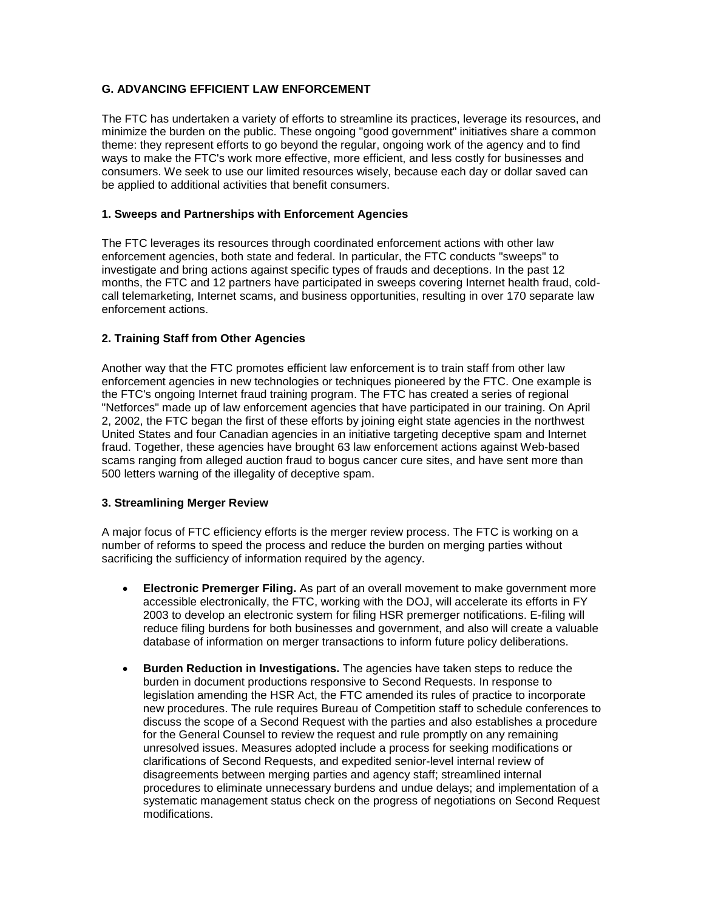# **G. ADVANCING EFFICIENT LAW ENFORCEMENT**

The FTC has undertaken a variety of efforts to streamline its practices, leverage its resources, and minimize the burden on the public. These ongoing "good government" initiatives share a common theme: they represent efforts to go beyond the regular, ongoing work of the agency and to find ways to make the FTC's work more effective, more efficient, and less costly for businesses and consumers. We seek to use our limited resources wisely, because each day or dollar saved can be applied to additional activities that benefit consumers.

#### **1. Sweeps and Partnerships with Enforcement Agencies**

The FTC leverages its resources through coordinated enforcement actions with other law enforcement agencies, both state and federal. In particular, the FTC conducts "sweeps" to investigate and bring actions against specific types of frauds and deceptions. In the past 12 months, the FTC and 12 partners have participated in sweeps covering Internet health fraud, coldcall telemarketing, Internet scams, and business opportunities, resulting in over 170 separate law enforcement actions.

## **2. Training Staff from Other Agencies**

Another way that the FTC promotes efficient law enforcement is to train staff from other law enforcement agencies in new technologies or techniques pioneered by the FTC. One example is the FTC's ongoing Internet fraud training program. The FTC has created a series of regional "Netforces" made up of law enforcement agencies that have participated in our training. On April 2, 2002, the FTC began the first of these efforts by joining eight state agencies in the northwest United States and four Canadian agencies in an initiative targeting deceptive spam and Internet fraud. Together, these agencies have brought 63 law enforcement actions against Web-based scams ranging from alleged auction fraud to bogus cancer cure sites, and have sent more than 500 letters warning of the illegality of deceptive spam.

#### **3. Streamlining Merger Review**

A major focus of FTC efficiency efforts is the merger review process. The FTC is working on a number of reforms to speed the process and reduce the burden on merging parties without sacrificing the sufficiency of information required by the agency.

- **Electronic Premerger Filing.** As part of an overall movement to make government more accessible electronically, the FTC, working with the DOJ, will accelerate its efforts in FY 2003 to develop an electronic system for filing HSR premerger notifications. E-filing will reduce filing burdens for both businesses and government, and also will create a valuable database of information on merger transactions to inform future policy deliberations.
- **Burden Reduction in Investigations.** The agencies have taken steps to reduce the burden in document productions responsive to Second Requests. In response to legislation amending the HSR Act, the FTC amended its rules of practice to incorporate new procedures. The rule requires Bureau of Competition staff to schedule conferences to discuss the scope of a Second Request with the parties and also establishes a procedure for the General Counsel to review the request and rule promptly on any remaining unresolved issues. Measures adopted include a process for seeking modifications or clarifications of Second Requests, and expedited senior-level internal review of disagreements between merging parties and agency staff; streamlined internal procedures to eliminate unnecessary burdens and undue delays; and implementation of a systematic management status check on the progress of negotiations on Second Request modifications.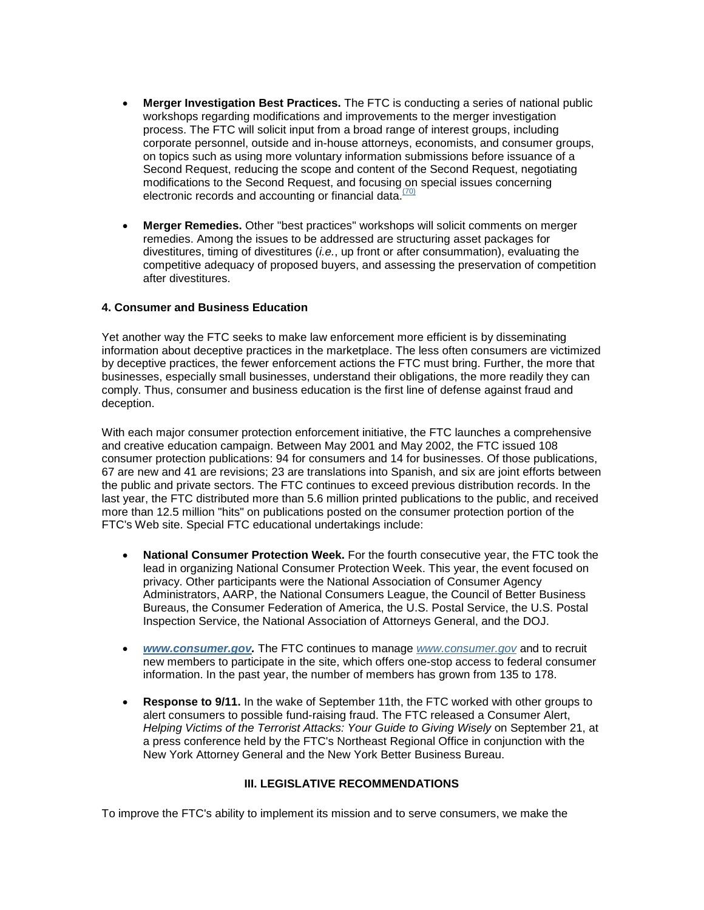- **Merger Investigation Best Practices.** The FTC is conducting a series of national public workshops regarding modifications and improvements to the merger investigation process. The FTC will solicit input from a broad range of interest groups, including corporate personnel, outside and in-house attorneys, economists, and consumer groups, on topics such as using more voluntary information submissions before issuance of a Second Request, reducing the scope and content of the Second Request, negotiating modifications to the Second Request, and focusing on special issues concerning electronic records and accounting or financial data. $(70)$
- **Merger Remedies.** Other "best practices" workshops will solicit comments on merger remedies. Among the issues to be addressed are structuring asset packages for divestitures, timing of divestitures (*i.e.*, up front or after consummation), evaluating the competitive adequacy of proposed buyers, and assessing the preservation of competition after divestitures.

#### **4. Consumer and Business Education**

Yet another way the FTC seeks to make law enforcement more efficient is by disseminating information about deceptive practices in the marketplace. The less often consumers are victimized by deceptive practices, the fewer enforcement actions the FTC must bring. Further, the more that businesses, especially small businesses, understand their obligations, the more readily they can comply. Thus, consumer and business education is the first line of defense against fraud and deception.

With each major consumer protection enforcement initiative, the FTC launches a comprehensive and creative education campaign. Between May 2001 and May 2002, the FTC issued 108 consumer protection publications: 94 for consumers and 14 for businesses. Of those publications, 67 are new and 41 are revisions; 23 are translations into Spanish, and six are joint efforts between the public and private sectors. The FTC continues to exceed previous distribution records. In the last year, the FTC distributed more than 5.6 million printed publications to the public, and received more than 12.5 million "hits" on publications posted on the consumer protection portion of the FTC's Web site. Special FTC educational undertakings include:

- **National Consumer Protection Week.** For the fourth consecutive year, the FTC took the lead in organizing National Consumer Protection Week. This year, the event focused on privacy. Other participants were the National Association of Consumer Agency Administrators, AARP, the National Consumers League, the Council of Better Business Bureaus, the Consumer Federation of America, the U.S. Postal Service, the U.S. Postal Inspection Service, the National Association of Attorneys General, and the DOJ.
- *[www.consumer.gov.](http://www.consumer.gov/)* The FTC continues to manage *[www.consumer.gov](http://www.consumer.gov/)* and to recruit new members to participate in the site, which offers one-stop access to federal consumer information. In the past year, the number of members has grown from 135 to 178.
- **Response to 9/11.** In the wake of September 11th, the FTC worked with other groups to alert consumers to possible fund-raising fraud. The FTC released a Consumer Alert, *Helping Victims of the Terrorist Attacks: Your Guide to Giving Wisely* on September 21, at a press conference held by the FTC's Northeast Regional Office in conjunction with the New York Attorney General and the New York Better Business Bureau.

## **III. LEGISLATIVE RECOMMENDATIONS**

To improve the FTC's ability to implement its mission and to serve consumers, we make the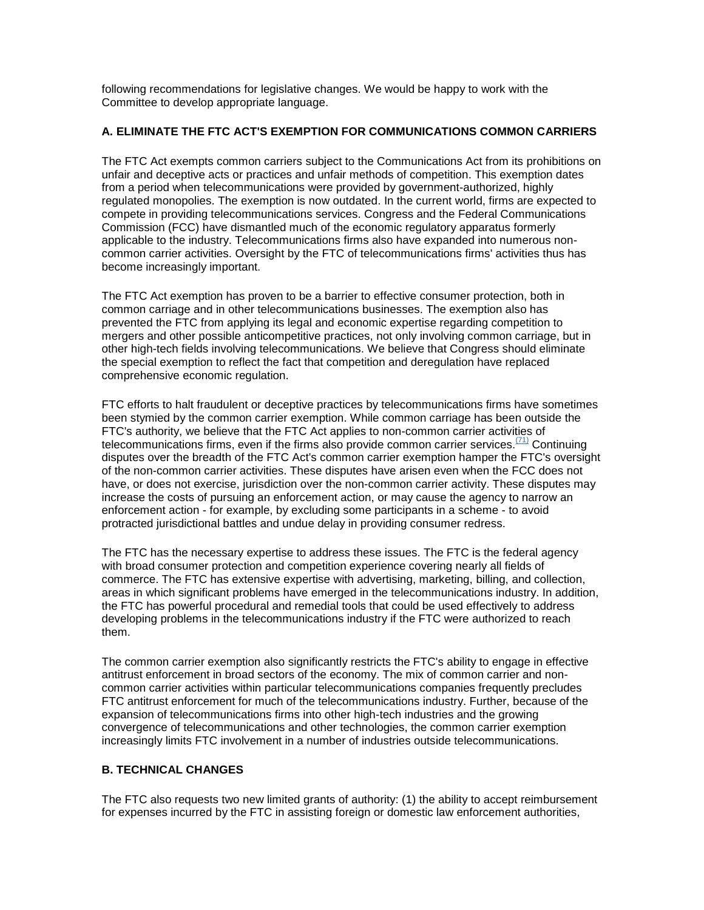following recommendations for legislative changes. We would be happy to work with the Committee to develop appropriate language.

### **A. ELIMINATE THE FTC ACT'S EXEMPTION FOR COMMUNICATIONS COMMON CARRIERS**

The FTC Act exempts common carriers subject to the Communications Act from its prohibitions on unfair and deceptive acts or practices and unfair methods of competition. This exemption dates from a period when telecommunications were provided by government-authorized, highly regulated monopolies. The exemption is now outdated. In the current world, firms are expected to compete in providing telecommunications services. Congress and the Federal Communications Commission (FCC) have dismantled much of the economic regulatory apparatus formerly applicable to the industry. Telecommunications firms also have expanded into numerous noncommon carrier activities. Oversight by the FTC of telecommunications firms' activities thus has become increasingly important.

The FTC Act exemption has proven to be a barrier to effective consumer protection, both in common carriage and in other telecommunications businesses. The exemption also has prevented the FTC from applying its legal and economic expertise regarding competition to mergers and other possible anticompetitive practices, not only involving common carriage, but in other high-tech fields involving telecommunications. We believe that Congress should eliminate the special exemption to reflect the fact that competition and deregulation have replaced comprehensive economic regulation.

FTC efforts to halt fraudulent or deceptive practices by telecommunications firms have sometimes been stymied by the common carrier exemption. While common carriage has been outside the FTC's authority, we believe that the FTC Act applies to non-common carrier activities of telecommunications firms, even if the firms also provide common carrier services.  $(T_1)$  Continuing disputes over the breadth of the FTC Act's common carrier exemption hamper the FTC's oversight of the non-common carrier activities. These disputes have arisen even when the FCC does not have, or does not exercise, jurisdiction over the non-common carrier activity. These disputes may increase the costs of pursuing an enforcement action, or may cause the agency to narrow an enforcement action - for example, by excluding some participants in a scheme - to avoid protracted jurisdictional battles and undue delay in providing consumer redress.

The FTC has the necessary expertise to address these issues. The FTC is the federal agency with broad consumer protection and competition experience covering nearly all fields of commerce. The FTC has extensive expertise with advertising, marketing, billing, and collection, areas in which significant problems have emerged in the telecommunications industry. In addition, the FTC has powerful procedural and remedial tools that could be used effectively to address developing problems in the telecommunications industry if the FTC were authorized to reach them.

The common carrier exemption also significantly restricts the FTC's ability to engage in effective antitrust enforcement in broad sectors of the economy. The mix of common carrier and noncommon carrier activities within particular telecommunications companies frequently precludes FTC antitrust enforcement for much of the telecommunications industry. Further, because of the expansion of telecommunications firms into other high-tech industries and the growing convergence of telecommunications and other technologies, the common carrier exemption increasingly limits FTC involvement in a number of industries outside telecommunications.

## **B. TECHNICAL CHANGES**

The FTC also requests two new limited grants of authority: (1) the ability to accept reimbursement for expenses incurred by the FTC in assisting foreign or domestic law enforcement authorities,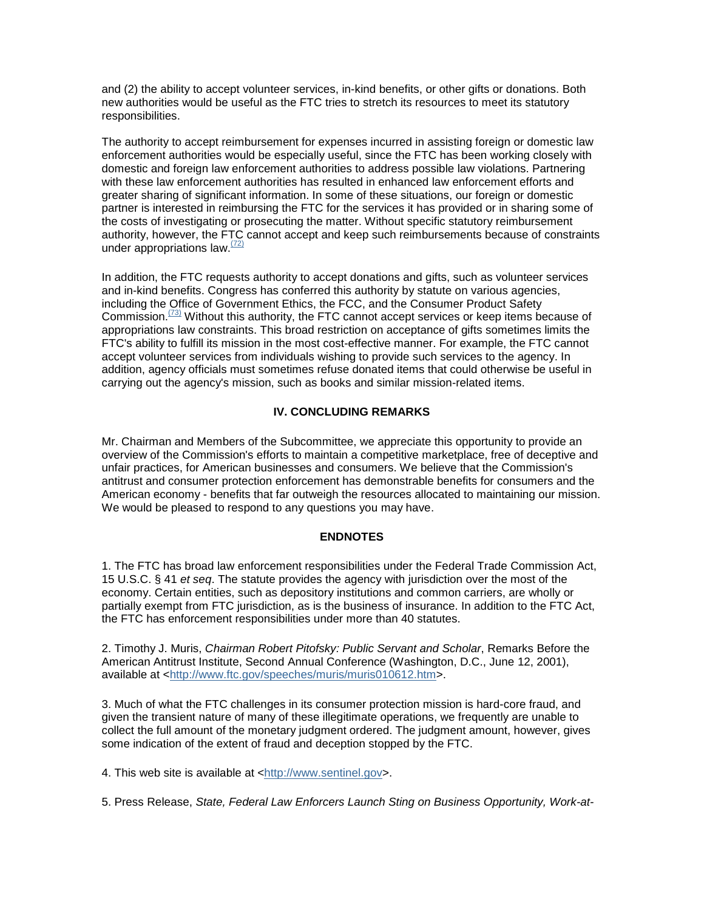and (2) the ability to accept volunteer services, in-kind benefits, or other gifts or donations. Both new authorities would be useful as the FTC tries to stretch its resources to meet its statutory responsibilities.

The authority to accept reimbursement for expenses incurred in assisting foreign or domestic law enforcement authorities would be especially useful, since the FTC has been working closely with domestic and foreign law enforcement authorities to address possible law violations. Partnering with these law enforcement authorities has resulted in enhanced law enforcement efforts and greater sharing of significant information. In some of these situations, our foreign or domestic partner is interested in reimbursing the FTC for the services it has provided or in sharing some of the costs of investigating or prosecuting the matter. Without specific statutory reimbursement authority, however, the FTC cannot accept and keep such reimbursements because of constraints under appropriations law. $(72)$ 

In addition, the FTC requests authority to accept donations and gifts, such as volunteer services and in-kind benefits. Congress has conferred this authority by statute on various agencies, including the Office of Government Ethics, the FCC, and the Consumer Product Safety Commission.<sup> $(73)$ </sup> Without this authority, the FTC cannot accept services or keep items because of appropriations law constraints. This broad restriction on acceptance of gifts sometimes limits the FTC's ability to fulfill its mission in the most cost-effective manner. For example, the FTC cannot accept volunteer services from individuals wishing to provide such services to the agency. In addition, agency officials must sometimes refuse donated items that could otherwise be useful in carrying out the agency's mission, such as books and similar mission-related items.

## **IV. CONCLUDING REMARKS**

Mr. Chairman and Members of the Subcommittee, we appreciate this opportunity to provide an overview of the Commission's efforts to maintain a competitive marketplace, free of deceptive and unfair practices, for American businesses and consumers. We believe that the Commission's antitrust and consumer protection enforcement has demonstrable benefits for consumers and the American economy - benefits that far outweigh the resources allocated to maintaining our mission. We would be pleased to respond to any questions you may have.

#### **ENDNOTES**

1. The FTC has broad law enforcement responsibilities under the Federal Trade Commission Act, 15 U.S.C. § 41 *et seq*. The statute provides the agency with jurisdiction over the most of the economy. Certain entities, such as depository institutions and common carriers, are wholly or partially exempt from FTC jurisdiction, as is the business of insurance. In addition to the FTC Act, the FTC has enforcement responsibilities under more than 40 statutes.

2. Timothy J. Muris, *Chairman Robert Pitofsky: Public Servant and Scholar*, Remarks Before the American Antitrust Institute, Second Annual Conference (Washington, D.C., June 12, 2001), available at [<http://www.ftc.gov/speeches/muris/muris010612.htm>](http://www.ftc.gov/speeches/muris/muris010612.htm).

3. Much of what the FTC challenges in its consumer protection mission is hard-core fraud, and given the transient nature of many of these illegitimate operations, we frequently are unable to collect the full amount of the monetary judgment ordered. The judgment amount, however, gives some indication of the extent of fraud and deception stopped by the FTC.

4. This web site is available at [<http://www.sentinel.gov>](http://www.sentinel.gov/).

5. Press Release, *State, Federal Law Enforcers Launch Sting on Business Opportunity, Work-at-*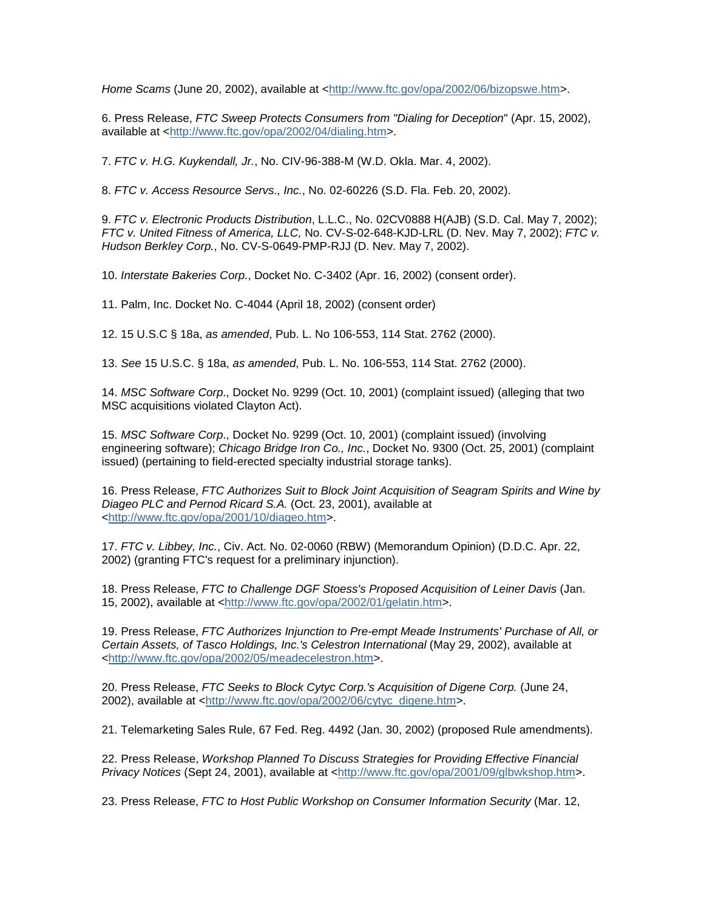*Home Scams* (June 20, 2002), available at [<http://www.ftc.gov/opa/2002/06/bizopswe.htm>](http://www.ftc.gov/opa/2002/06/bizopswe.htm).

6. Press Release, *FTC Sweep Protects Consumers from "Dialing for Deception*" (Apr. 15, 2002), available at [<http://www.ftc.gov/opa/2002/04/dialing.htm>](http://www.ftc.gov/opa/2002/04/dialing.htm).

7. *FTC v. H.G. Kuykendall, Jr.*, No. CIV-96-388-M (W.D. Okla. Mar. 4, 2002).

8. *FTC v. Access Resource Servs., Inc.*, No. 02-60226 (S.D. Fla. Feb. 20, 2002).

9. *FTC v. Electronic Products Distribution*, L.L.C., No. 02CV0888 H(AJB) (S.D. Cal. May 7, 2002); *FTC v. United Fitness of America, LLC,* No. CV-S-02-648-KJD-LRL (D. Nev. May 7, 2002); *FTC v. Hudson Berkley Corp.*, No. CV-S-0649-PMP-RJJ (D. Nev. May 7, 2002).

10. *Interstate Bakeries Corp.*, Docket No. C-3402 (Apr. 16, 2002) (consent order).

11. Palm, Inc. Docket No. C-4044 (April 18, 2002) (consent order)

12. 15 U.S.C § 18a, *as amended*, Pub. L. No 106-553, 114 Stat. 2762 (2000).

13. *See* 15 U.S.C. § 18a, *as amended*, Pub. L. No. 106-553, 114 Stat. 2762 (2000).

14. *MSC Software Corp*., Docket No. 9299 (Oct. 10, 2001) (complaint issued) (alleging that two MSC acquisitions violated Clayton Act).

15. *MSC Software Corp*., Docket No. 9299 (Oct. 10, 2001) (complaint issued) (involving engineering software); *Chicago Bridge Iron Co., Inc.*, Docket No. 9300 (Oct. 25, 2001) (complaint issued) (pertaining to field-erected specialty industrial storage tanks).

16. Press Release, *FTC Authorizes Suit to Block Joint Acquisition of Seagram Spirits and Wine by Diageo PLC and Pernod Ricard S.A.* (Oct. 23, 2001), available at [<http://www.ftc.gov/opa/2001/10/diageo.htm>](http://www.ftc.gov/opa/2001/10/diageo.htm).

17. *FTC v. Libbey, Inc.*, Civ. Act. No. 02-0060 (RBW) (Memorandum Opinion) (D.D.C. Apr. 22, 2002) (granting FTC's request for a preliminary injunction).

18. Press Release, *FTC to Challenge DGF Stoess's Proposed Acquisition of Leiner Davis* (Jan. 15, 2002), available at [<http://www.ftc.gov/opa/2002/01/gelatin.htm>](http://www.ftc.gov/opa/2002/01/gelatin.htm).

19. Press Release, *FTC Authorizes Injunction to Pre-empt Meade Instruments' Purchase of All, or Certain Assets, of Tasco Holdings, Inc.'s Celestron International* (May 29, 2002), available at [<http://www.ftc.gov/opa/2002/05/meadecelestron.htm>](http://www.ftc.gov/opa/2002/05/meadecelestron.htm).

20. Press Release, *FTC Seeks to Block Cytyc Corp.'s Acquisition of Digene Corp.* (June 24, 2002), available at [<http://www.ftc.gov/opa/2002/06/cytyc\\_digene.htm>](http://www.ftc.gov/opa/2002/06/cytyc_digene.htm).

21. Telemarketing Sales Rule, 67 Fed. Reg. 4492 (Jan. 30, 2002) (proposed Rule amendments).

22. Press Release, *Workshop Planned To Discuss Strategies for Providing Effective Financial Privacy Notices* (Sept 24, 2001), available at [<http://www.ftc.gov/opa/2001/09/glbwkshop.htm>](http://www.ftc.gov/opa/2001/09/glbwkshop.htm).

23. Press Release, *FTC to Host Public Workshop on Consumer Information Security* (Mar. 12,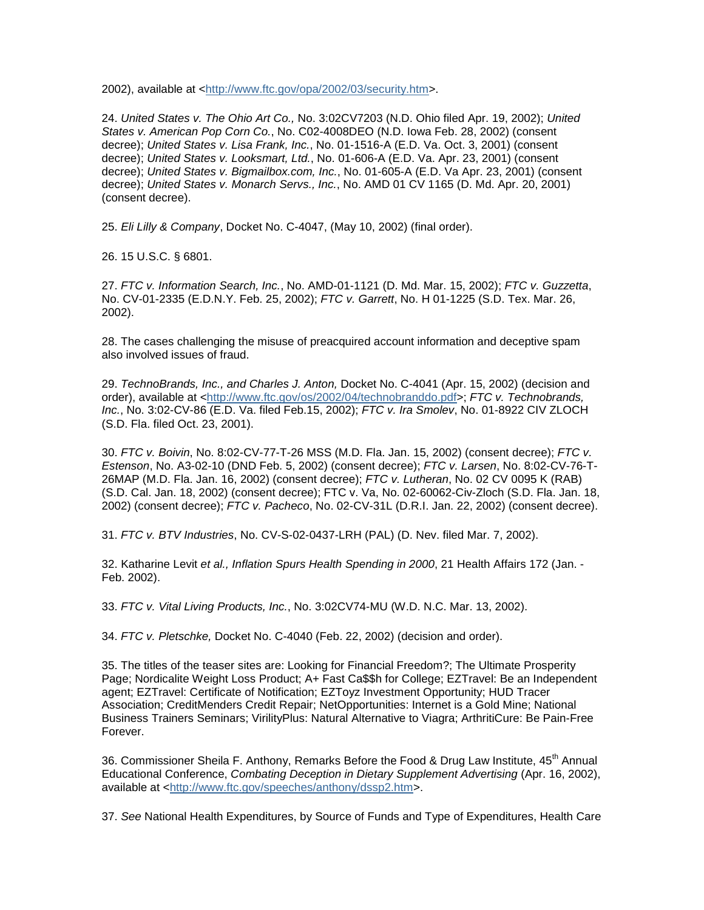2002), available at [<http://www.ftc.gov/opa/2002/03/security.htm>](http://www.ftc.gov/opa/2002/03/security.htm).

24. *United States v. The Ohio Art Co.,* No. 3:02CV7203 (N.D. Ohio filed Apr. 19, 2002); *United States v. American Pop Corn Co.*, No. C02-4008DEO (N.D. Iowa Feb. 28, 2002) (consent decree); *United States v. Lisa Frank, Inc.*, No. 01-1516-A (E.D. Va. Oct. 3, 2001) (consent decree); *United States v. Looksmart, Ltd.*, No. 01-606-A (E.D. Va. Apr. 23, 2001) (consent decree); *United States v. Bigmailbox.com, Inc.*, No. 01-605-A (E.D. Va Apr. 23, 2001) (consent decree); *United States v. Monarch Servs., Inc.*, No. AMD 01 CV 1165 (D. Md. Apr. 20, 2001) (consent decree).

25. *Eli Lilly & Company*, Docket No. C-4047, (May 10, 2002) (final order).

26. 15 U.S.C. § 6801.

27. *FTC v. Information Search, Inc.*, No. AMD-01-1121 (D. Md. Mar. 15, 2002); *FTC v. Guzzetta*, No. CV-01-2335 (E.D.N.Y. Feb. 25, 2002); *FTC v. Garrett*, No. H 01-1225 (S.D. Tex. Mar. 26, 2002).

28. The cases challenging the misuse of preacquired account information and deceptive spam also involved issues of fraud.

29. *TechnoBrands, Inc., and Charles J. Anton,* Docket No. C-4041 (Apr. 15, 2002) (decision and order), available at [<http://www.ftc.gov/os/2002/04/technobranddo.pdf>](http://www.ftc.gov/os/2002/04/technobranddo.pdf); *FTC v. Technobrands, Inc.*, No. 3:02-CV-86 (E.D. Va. filed Feb.15, 2002); *FTC v. Ira Smolev*, No. 01-8922 CIV ZLOCH (S.D. Fla. filed Oct. 23, 2001).

30. *FTC v. Boivin*, No. 8:02-CV-77-T-26 MSS (M.D. Fla. Jan. 15, 2002) (consent decree); *FTC v. Estenson*, No. A3-02-10 (DND Feb. 5, 2002) (consent decree); *FTC v. Larsen*, No. 8:02-CV-76-T-26MAP (M.D. Fla. Jan. 16, 2002) (consent decree); *FTC v. Lutheran*, No. 02 CV 0095 K (RAB) (S.D. Cal. Jan. 18, 2002) (consent decree); FTC v. Va, No. 02-60062-Civ-Zloch (S.D. Fla. Jan. 18, 2002) (consent decree); *FTC v. Pacheco*, No. 02-CV-31L (D.R.I. Jan. 22, 2002) (consent decree).

31. *FTC v. BTV Industries*, No. CV-S-02-0437-LRH (PAL) (D. Nev. filed Mar. 7, 2002).

32. Katharine Levit *et al., Inflation Spurs Health Spending in 2000*, 21 Health Affairs 172 (Jan. - Feb. 2002).

33. *FTC v. Vital Living Products, Inc.*, No. 3:02CV74-MU (W.D. N.C. Mar. 13, 2002).

34. *FTC v. Pletschke,* Docket No. C-4040 (Feb. 22, 2002) (decision and order).

35. The titles of the teaser sites are: Looking for Financial Freedom?; The Ultimate Prosperity Page; Nordicalite Weight Loss Product; A+ Fast Ca\$\$h for College; EZTravel: Be an Independent agent; EZTravel: Certificate of Notification; EZToyz Investment Opportunity; HUD Tracer Association; CreditMenders Credit Repair; NetOpportunities: Internet is a Gold Mine; National Business Trainers Seminars; VirilityPlus: Natural Alternative to Viagra; ArthritiCure: Be Pain-Free Forever.

36. Commissioner Sheila F. Anthony, Remarks Before the Food & Drug Law Institute, 45<sup>th</sup> Annual Educational Conference, *Combating Deception in Dietary Supplement Advertising* (Apr. 16, 2002), available at [<http://www.ftc.gov/speeches/anthony/dssp2.htm>](http://www.ftc.gov/speeches/anthony/dssp2.htm).

37. *See* National Health Expenditures, by Source of Funds and Type of Expenditures, Health Care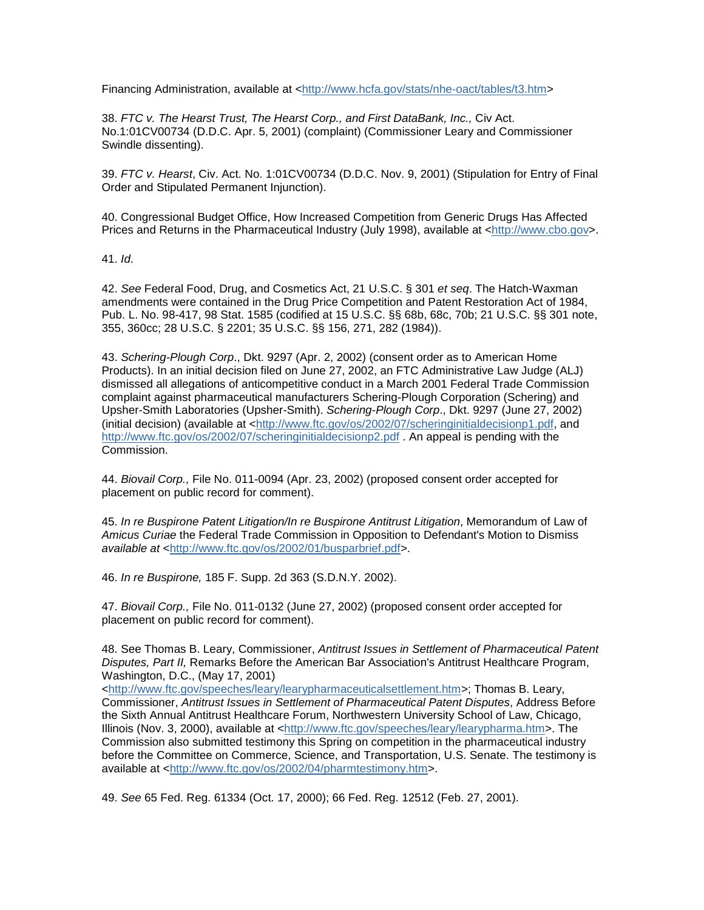Financing Administration, available at [<http://www.hcfa.gov/stats/nhe-oact/tables/t3.htm>](http://www.hcfa.gov/stats/nhe-oact/tables/t3.htm)

38. *FTC v. The Hearst Trust, The Hearst Corp., and First DataBank, Inc.,* Civ Act. No.1:01CV00734 (D.D.C. Apr. 5, 2001) (complaint) (Commissioner Leary and Commissioner Swindle dissenting).

39. *FTC v. Hearst*, Civ. Act. No. 1:01CV00734 (D.D.C. Nov. 9, 2001) (Stipulation for Entry of Final Order and Stipulated Permanent Injunction).

40. Congressional Budget Office, How Increased Competition from Generic Drugs Has Affected Prices and Returns in the Pharmaceutical Industry (July 1998), available at [<http://www.cbo.gov>](http://www.cbo.gov/).

41. *Id*.

42. *See* Federal Food, Drug, and Cosmetics Act, 21 U.S.C. § 301 *et seq*. The Hatch-Waxman amendments were contained in the Drug Price Competition and Patent Restoration Act of 1984, Pub. L. No. 98-417, 98 Stat. 1585 (codified at 15 U.S.C. §§ 68b, 68c, 70b; 21 U.S.C. §§ 301 note, 355, 360cc; 28 U.S.C. § 2201; 35 U.S.C. §§ 156, 271, 282 (1984)).

43. *Schering-Plough Corp*., Dkt. 9297 (Apr. 2, 2002) (consent order as to American Home Products). In an initial decision filed on June 27, 2002, an FTC Administrative Law Judge (ALJ) dismissed all allegations of anticompetitive conduct in a March 2001 Federal Trade Commission complaint against pharmaceutical manufacturers Schering-Plough Corporation (Schering) and Upsher-Smith Laboratories (Upsher-Smith). *Schering-Plough Corp*., Dkt. 9297 (June 27, 2002) (initial decision) (available at [<http://www.ftc.gov/os/2002/07/scheringinitialdecisionp1.pdf,](http://www.ftc.gov/os/2002/07/scheringinitialdecisionp1.pdf) and <http://www.ftc.gov/os/2002/07/scheringinitialdecisionp2.pdf> . An appeal is pending with the Commission.

44. *Biovail Corp.,* File No. 011-0094 (Apr. 23, 2002) (proposed consent order accepted for placement on public record for comment).

45. *In re Buspirone Patent Litigation/In re Buspirone Antitrust Litigation*, Memorandum of Law of *Amicus Curiae* the Federal Trade Commission in Opposition to Defendant's Motion to Dismiss *available at* [<http://www.ftc.gov/os/2002/01/busparbrief.pdf>](http://www.ftc.gov/os/2002/01/busparbrief.pdf).

46. *In re Buspirone,* 185 F. Supp. 2d 363 (S.D.N.Y. 2002).

47. *Biovail Corp.,* File No. 011-0132 (June 27, 2002) (proposed consent order accepted for placement on public record for comment).

48. See Thomas B. Leary, Commissioner, *Antitrust Issues in Settlement of Pharmaceutical Patent Disputes, Part II,* Remarks Before the American Bar Association's Antitrust Healthcare Program, Washington, D.C., (May 17, 2001)

[<http://www.ftc.gov/speeches/leary/learypharmaceuticalsettlement.htm>](http://www.ftc.gov/speeches/leary/learypharmaceuticalsettlement.htm); Thomas B. Leary, Commissioner, *Antitrust Issues in Settlement of Pharmaceutical Patent Disputes*, Address Before the Sixth Annual Antitrust Healthcare Forum, Northwestern University School of Law, Chicago, Illinois (Nov. 3, 2000), available at [<http://www.ftc.gov/speeches/leary/learypharma.htm>](http://www.ftc.gov/speeches/leary/learypharma.htm). The Commission also submitted testimony this Spring on competition in the pharmaceutical industry before the Committee on Commerce, Science, and Transportation, U.S. Senate. The testimony is available at [<http://www.ftc.gov/os/2002/04/pharmtestimony.htm>](http://www.ftc.gov/os/2002/04/pharmtestimony.htm).

49. *See* 65 Fed. Reg. 61334 (Oct. 17, 2000); 66 Fed. Reg. 12512 (Feb. 27, 2001).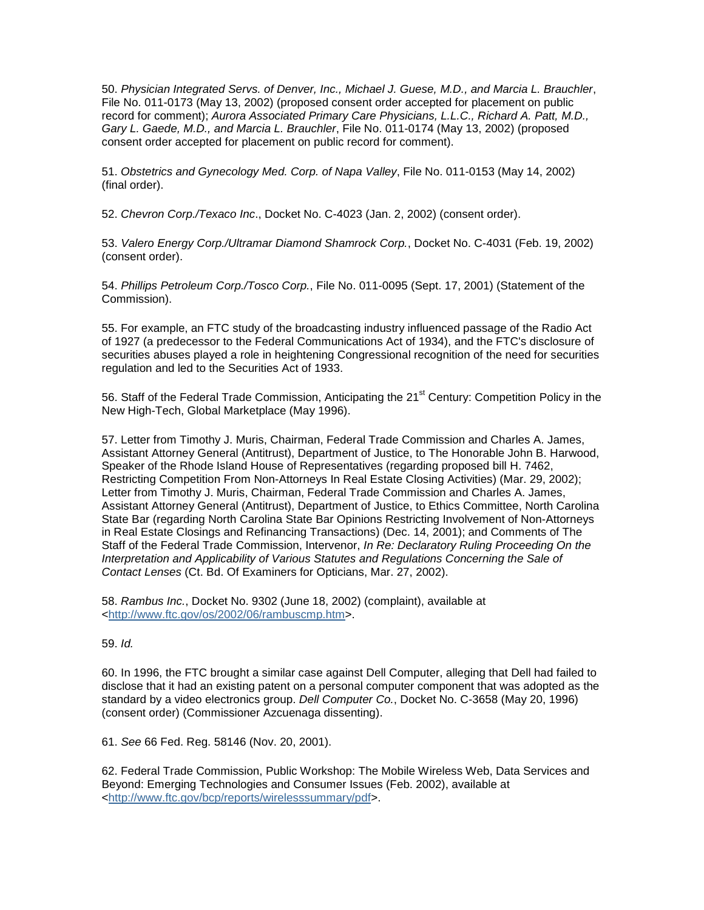50. *Physician Integrated Servs. of Denver, Inc., Michael J. Guese, M.D., and Marcia L. Brauchler*, File No. 011-0173 (May 13, 2002) (proposed consent order accepted for placement on public record for comment); *Aurora Associated Primary Care Physicians, L.L.C., Richard A. Patt, M.D., Gary L. Gaede, M.D., and Marcia L. Brauchler*, File No. 011-0174 (May 13, 2002) (proposed consent order accepted for placement on public record for comment).

51. *Obstetrics and Gynecology Med. Corp. of Napa Valley*, File No. 011-0153 (May 14, 2002) (final order).

52. *Chevron Corp./Texaco Inc*., Docket No. C-4023 (Jan. 2, 2002) (consent order).

53. *Valero Energy Corp./Ultramar Diamond Shamrock Corp.*, Docket No. C-4031 (Feb. 19, 2002) (consent order).

54. *Phillips Petroleum Corp./Tosco Corp.*, File No. 011-0095 (Sept. 17, 2001) (Statement of the Commission).

55. For example, an FTC study of the broadcasting industry influenced passage of the Radio Act of 1927 (a predecessor to the Federal Communications Act of 1934), and the FTC's disclosure of securities abuses played a role in heightening Congressional recognition of the need for securities regulation and led to the Securities Act of 1933.

56. Staff of the Federal Trade Commission, Anticipating the 21<sup>st</sup> Century: Competition Policy in the New High-Tech, Global Marketplace (May 1996).

57. Letter from Timothy J. Muris, Chairman, Federal Trade Commission and Charles A. James, Assistant Attorney General (Antitrust), Department of Justice, to The Honorable John B. Harwood, Speaker of the Rhode Island House of Representatives (regarding proposed bill H. 7462, Restricting Competition From Non-Attorneys In Real Estate Closing Activities) (Mar. 29, 2002); Letter from Timothy J. Muris, Chairman, Federal Trade Commission and Charles A. James, Assistant Attorney General (Antitrust), Department of Justice, to Ethics Committee, North Carolina State Bar (regarding North Carolina State Bar Opinions Restricting Involvement of Non-Attorneys in Real Estate Closings and Refinancing Transactions) (Dec. 14, 2001); and Comments of The Staff of the Federal Trade Commission, Intervenor, *In Re: Declaratory Ruling Proceeding On the Interpretation and Applicability of Various Statutes and Regulations Concerning the Sale of Contact Lenses* (Ct. Bd. Of Examiners for Opticians, Mar. 27, 2002).

58. *Rambus Inc.*, Docket No. 9302 (June 18, 2002) (complaint), available at [<http://www.ftc.gov/os/2002/06/rambuscmp.htm>](http://www.ftc.gov/os/2002/06/rambuscmp.htm).

59. *Id.*

60. In 1996, the FTC brought a similar case against Dell Computer, alleging that Dell had failed to disclose that it had an existing patent on a personal computer component that was adopted as the standard by a video electronics group. *Dell Computer Co.*, Docket No. C-3658 (May 20, 1996) (consent order) (Commissioner Azcuenaga dissenting).

61. *See* 66 Fed. Reg. 58146 (Nov. 20, 2001).

62. Federal Trade Commission, Public Workshop: The Mobile Wireless Web, Data Services and Beyond: Emerging Technologies and Consumer Issues (Feb. 2002), available at [<http://www.ftc.gov/bcp/reports/wirelesssummary/pdf>](http://www.ftc.gov/bcp/reports/wirelesssummary/pdf).